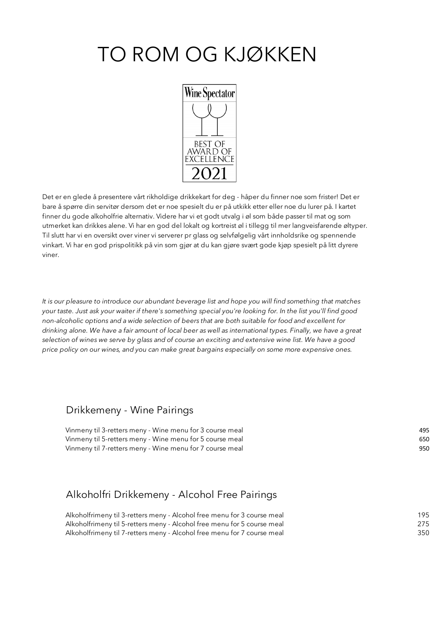# TO ROM OG KJØKKEN



Det er en glede å presentere vårt rikholdige drikkekart for deg - håper du finner noe som frister! Det er bare å spørre din servitør dersom det er noe spesielt du er på utkikk etter eller noe du lurer på. I kartet finner du gode alkoholfrie alternativ. Videre har vi et godt utvalg i øl som både passer til mat og som utmerket kan drikkes alene. Vi har en god del lokalt og kortreist øl i tillegg til mer langveisfarende øltyper. Til slutt har vi en oversikt over viner vi serverer pr glass og selvfølgelig vårt innholdsrike og spennende vinkart. Vi har en god prispolitikk på vin som gjør at du kan gjøre svært gode kjøp spesielt på litt dyrere viner.

*It is our pleasure to introduce our abundant beverage list and hope you will find something that matches your taste. Just ask your waiter if there's something special you're looking for. In the list you'll find good non-alcoholic options and a wide selection of beers that are both suitable for food and excellent for drinking alone. We have a fair amount of local beer as well as international types. Finally, we have a great selection of wines we serve by glass and of course an exciting and extensive wine list. We have a good price policy on our wines, and you can make great bargains especially on some more expensive ones.* 

#### Drikkemeny - Wine Pairings

| Vinmeny til 3-retters meny - Wine menu for 3 course meal | 495 |
|----------------------------------------------------------|-----|
| Vinmeny til 5-retters meny - Wine menu for 5 course meal | 650 |
| Vinmeny til 7-retters meny - Wine menu for 7 course meal | 950 |

### Alkoholfri Drikkemeny - Alcohol Free Pairings

| Alkoholfrimeny til 3-retters meny - Alcohol free menu for 3 course meal | 195 |
|-------------------------------------------------------------------------|-----|
| Alkoholfrimeny til 5-retters meny - Alcohol free menu for 5 course meal | 275 |
| Alkoholfrimeny til 7-retters meny - Alcohol free menu for 7 course meal | 350 |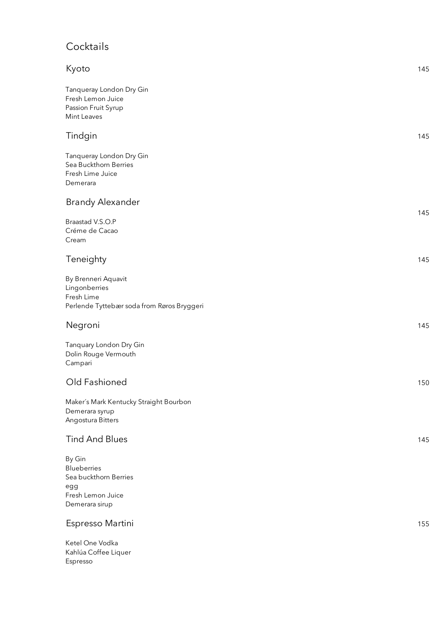# **Cocktails**

| Kyoto                                                                                               | 145 |
|-----------------------------------------------------------------------------------------------------|-----|
| Tanqueray London Dry Gin<br>Fresh Lemon Juice<br>Passion Fruit Syrup                                |     |
| Mint Leaves                                                                                         |     |
| Tindgin                                                                                             | 145 |
| Tanqueray London Dry Gin<br>Sea Buckthorn Berries<br>Fresh Lime Juice<br>Demerara                   |     |
| <b>Brandy Alexander</b>                                                                             | 145 |
| Braastad V.S.O.P<br>Créme de Cacao<br>Cream                                                         |     |
| Teneighty                                                                                           | 145 |
| By Brenneri Aquavit<br>Lingonberries<br>Fresh Lime<br>Perlende Tyttebær soda from Røros Bryggeri    |     |
| Negroni                                                                                             | 145 |
| Tanquary London Dry Gin<br>Dolin Rouge Vermouth<br>Campari                                          |     |
| Old Fashioned                                                                                       | 150 |
| Maker's Mark Kentucky Straight Bourbon<br>Demerara syrup<br>Angostura Bitters                       |     |
| <b>Tind And Blues</b>                                                                               | 145 |
| By Gin<br><b>Blueberries</b><br>Sea buckthorn Berries<br>egg<br>Fresh Lemon Juice<br>Demerara sirup |     |
| Espresso Martini                                                                                    | 155 |

Ketel One Vodka Kahlúa Coffee Liquer Espresso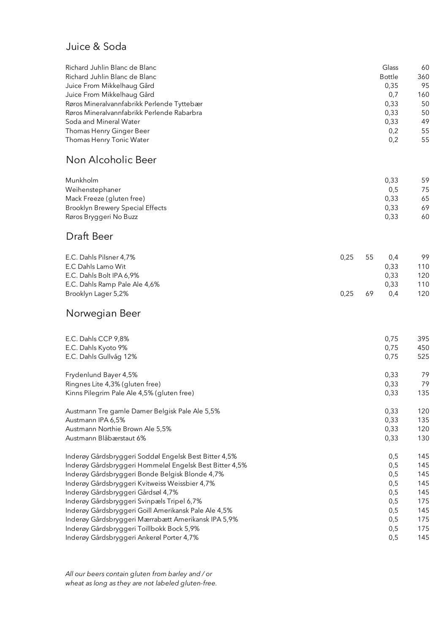#### Juice & Soda

| Richard Juhlin Blanc de Blanc              | Glass         | 60  |
|--------------------------------------------|---------------|-----|
| Richard Juhlin Blanc de Blanc              | <b>Bottle</b> | 360 |
| Juice From Mikkelhaug Gård                 | 0.35          | 95  |
| Juice From Mikkelhaug Gård                 | 0.7           | 160 |
| Røros Mineralvannfabrikk Perlende Tyttebær | 0.33          | 50  |
| Røros Mineralvannfabrikk Perlende Rabarbra | 0.33          | 50  |
| Soda and Mineral Water                     | 0.33          | 49  |
| Thomas Henry Ginger Beer                   | 0,2           | 55  |
| Thomas Henry Tonic Water                   | 0.2           | 55  |

### Non Alcoholic Beer

| Munkholm                         | 0.33 | 59 |
|----------------------------------|------|----|
| Weihenstephaner                  | 0.5  | 75 |
| Mack Freeze (gluten free)        | 0.33 | 65 |
| Brooklyn Brewery Special Effects | 0.33 | 69 |
| Røros Bryggeri No Buzz           | 0.33 | 60 |

### Draft Beer

| E.C. Dahls Pilsner 4,7%       | 0.25 | 55 | 0.4  | 99  |
|-------------------------------|------|----|------|-----|
| E.C Dahls Lamo Wit            |      |    | 0.33 | 110 |
| E.C. Dahls Bolt IPA 6,9%      |      |    | 0.33 | 120 |
| E.C. Dahls Ramp Pale Ale 4,6% |      |    | 0.33 | 110 |
| Brooklyn Lager 5,2%           | 0.25 | 69 | 0.4  | 120 |

### Norwegian Beer

| E.C. Dahls CCP 9,8%                                     | 0,75 | 395 |
|---------------------------------------------------------|------|-----|
| E.C. Dahls Kyoto 9%                                     | 0,75 | 450 |
| E.C. Dahls Gullvåg 12%                                  | 0,75 | 525 |
| Frydenlund Bayer 4,5%                                   | 0,33 | 79  |
| Ringnes Lite 4,3% (gluten free)                         | 0,33 | 79  |
| Kinns Pilegrim Pale Ale 4,5% (gluten free)              | 0,33 | 135 |
| Austmann Tre gamle Damer Belgisk Pale Ale 5,5%          | 0,33 | 120 |
| Austmann IPA 6,5%                                       | 0,33 | 135 |
| Austmann Northie Brown Ale 5,5%                         | 0,33 | 120 |
| Austmann Blåbærstaut 6%                                 | 0,33 | 130 |
| Inderøy Gårdsbryggeri Soddøl Engelsk Best Bitter 4,5%   | 0,5  | 145 |
| Inderøy Gårdsbryggeri Hommeløl Engelsk Best Bitter 4,5% | 0,5  | 145 |
| Inderøy Gårdsbryggeri Bonde Belgisk Blonde 4,7%         | 0,5  | 145 |
| Inderøy Gårdsbryggeri Kvitweiss Weissbier 4,7%          | 0,5  | 145 |
| Inderøy Gårdsbryggeri Gårdsøl 4,7%                      | 0,5  | 145 |
| Inderøy Gårdsbryggeri Svinpæls Tripel 6,7%              | 0,5  | 175 |
| Inderøy Gårdsbryggeri Goill Amerikansk Pale Ale 4,5%    | 0,5  | 145 |
| Inderøy Gårdsbryggeri Mærrabætt Amerikansk IPA 5,9%     | 0,5  | 175 |
| Inderøy Gårdsbryggeri Toillbokk Bock 5,9%               | 0,5  | 175 |
| Inderøy Gårdsbryggeri Ankerøl Porter 4,7%               | 0,5  | 145 |

*All our beers contain gluten from barley and / or wheat as long as they are not labeled gluten-free.*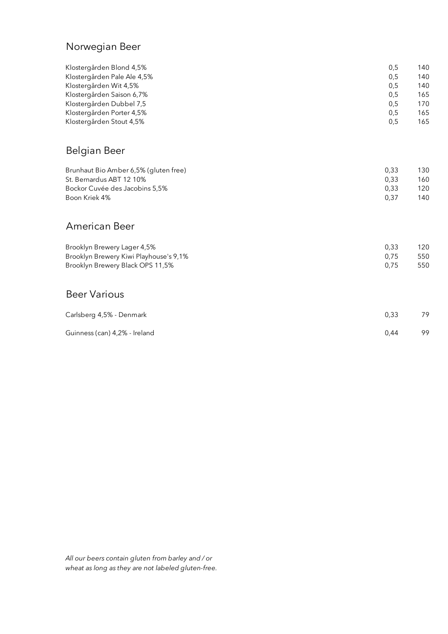### Norwegian Beer

| Klostergården Blond 4,5%<br>Klostergården Pale Ale 4,5%<br>Klostergården Wit 4,5%<br>Klostergården Saison 6,7%<br>Klostergården Dubbel 7,5<br>Klostergården Porter 4,5% | 0,5<br>0,5<br>0,5<br>0,5<br>0,5<br>0,5 | 140<br>140<br>140<br>165<br>170<br>165 |
|-------------------------------------------------------------------------------------------------------------------------------------------------------------------------|----------------------------------------|----------------------------------------|
| Klostergården Stout 4,5%                                                                                                                                                | 0,5                                    | 165                                    |
| Belgian Beer                                                                                                                                                            |                                        |                                        |
| Brunhaut Bio Amber 6,5% (gluten free)<br>St. Bernardus ABT 12 10%<br>Bockor Cuvée des Jacobins 5,5%<br>Boon Kriek 4%                                                    | 0,33<br>0,33<br>0,33<br>0,37           | 130<br>160<br>120<br>140               |
| American Beer                                                                                                                                                           |                                        |                                        |
| Brooklyn Brewery Lager 4,5%<br>Brooklyn Brewery Kiwi Playhouse's 9,1%<br>Brooklyn Brewery Black OPS 11,5%                                                               | 0,33<br>0,75<br>0,75                   | 120<br>550<br>550                      |
| <b>Beer Various</b>                                                                                                                                                     |                                        |                                        |
| Carlsberg 4,5% - Denmark                                                                                                                                                | 0,33                                   | 79                                     |
| Guinness (can) 4,2% - Ireland                                                                                                                                           | 0,44                                   | 99                                     |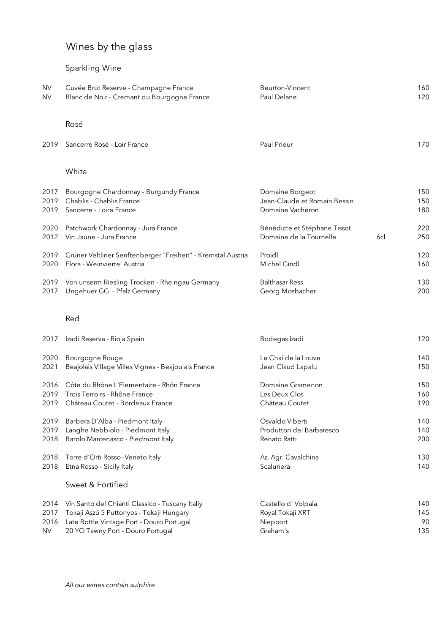# Wines by the glass

### Sparkling Wine

| <b>NV</b> | Cuvée Brut Reserve - Champagne France       | Beurton-Vincent | 160 |
|-----------|---------------------------------------------|-----------------|-----|
| <b>NV</b> | Blanc de Noir - Cremant du Bourgogne France | Paul Delane     | 120 |
|           |                                             |                 |     |

#### Rosé

| 2019 Sancerre Rosé - Loir France | <b>Paul Prieur</b> |  |
|----------------------------------|--------------------|--|
|                                  |                    |  |

#### White

| 2017 | Bourgogne Chardonnay - Burgundy France                       | Domaine Borgeot              |     | 150 |
|------|--------------------------------------------------------------|------------------------------|-----|-----|
| 2019 | Chablis - Chablis France                                     | Jean-Claude et Romain Bessin |     | 150 |
| 2019 | Sancerre - Loire France                                      | Domaine Vacheron             |     | 180 |
| 2020 | Patchwork Chardonnay - Jura France                           | Bénédicte et Stéphane Tissot | 6cl | 220 |
| 2012 | Vin Jaune - Jura France                                      | Domaine de la Tournelle      |     | 250 |
| 2019 | Grüner Veltliner Senftenberger "Freiheit" - Kremstal Austria | Proidl                       |     | 120 |
| 2020 | Flora - Weinviertel Austria                                  | Michel Gindl                 |     | 160 |
| 2019 | Von unserm Riesling Trocken - Rheingau Germany               | <b>Balthasar Ress</b>        |     | 130 |
| 2017 | Ungehuer GG - Pfalz Germany                                  | Georg Mosbacher              |     | 200 |

#### Red

| 2017      | Izadi Reserva - Rioja Spain                         | Bodegas Izadi             | 120 |
|-----------|-----------------------------------------------------|---------------------------|-----|
| 2020      | Bourgogne Rouge                                     | Le Chai de la Louve       | 140 |
| 2021      | Beajolais Village Villes Vignes - Beajoulais France | Jean Claud Lapalu         | 150 |
| 2016      | Côte du Rhône L'Elementaire - Rhôn France           | Domaine Gramenon          | 150 |
| 2019      | Trois Terroirs - Rhône France                       | Les Deux Clos             | 160 |
| 2019      | Château Coutet - Bordeaux France                    | Château Coutet            | 190 |
| 2019      | Barbera D'Alba - Piedmont Italy                     | Osvaldo Viberti           | 140 |
| 2019      | Langhe Nebbiolo - Piedmont Italy                    | Produttori del Barbaresco | 140 |
| 2018      | Barolo Marcenasco - Piedmont Italy                  | Renato Ratti              | 200 |
| 2018      | Torre d'Orti Rosso - Veneto Italy                   | Az. Agr. Cavalchina       | 130 |
| 2018      | Etna Rosso - Sicily Italy                           | Scalunera                 | 140 |
|           | Sweet & Fortified                                   |                           |     |
| 2014      | Vin Santo del Chianti Classico - Tuscany Italiy     | Castello di Volpaia       | 140 |
| 2017      | Tokaji Aszú 5 Puttonyos - Tokaji Hungary            | Royal Tokaji XRT          | 145 |
| 2016      | Late Bottle Vintage Port - Douro Portugal           | Niepoort                  | 90  |
| <b>NV</b> | 20 YO Tawny Port - Douro Portugal                   | Graham's                  | 135 |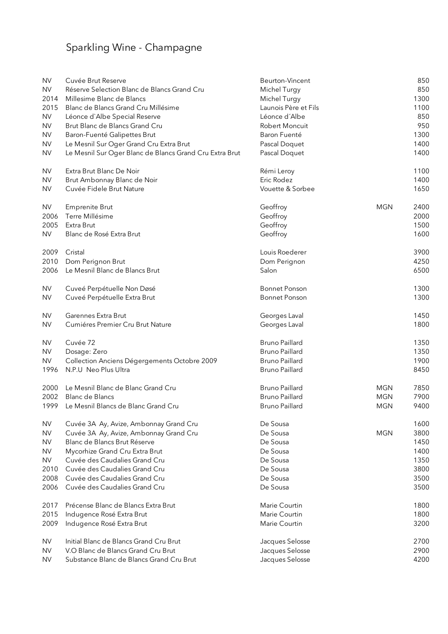# Sparkling Wine - Champagne

| <b>NV</b> | Cuvée Brut Reserve                                      | Beurton-Vincent       |            | 850  |
|-----------|---------------------------------------------------------|-----------------------|------------|------|
| <b>NV</b> | Réserve Selection Blanc de Blancs Grand Cru             | Michel Turgy          |            | 850  |
| 2014      | Millesime Blanc de Blancs                               | Michel Turgy          |            | 1300 |
| 2015      | Blanc de Blancs Grand Cru Millésime                     | Launois Père et Fils  |            | 1100 |
| <b>NV</b> | Léonce d'Albe Special Reserve                           | Léonce d'Albe         |            | 850  |
| <b>NV</b> | Brut Blanc de Blancs Grand Cru                          | <b>Robert Moncuit</b> |            | 950  |
| <b>NV</b> | Baron-Fuenté Galipettes Brut                            | Baron Fuenté          |            | 1300 |
| <b>NV</b> | Le Mesnil Sur Oger Grand Cru Extra Brut                 | Pascal Doquet         |            | 1400 |
| <b>NV</b> | Le Mesnil Sur Oger Blanc de Blancs Grand Cru Extra Brut | Pascal Doquet         |            | 1400 |
| <b>NV</b> | Extra Brut Blanc De Noir                                | Rémi Leroy            |            | 1100 |
| <b>NV</b> | Brut Ambonnay Blanc de Noir                             | Eric Rodez            |            | 1400 |
| <b>NV</b> | Cuvée Fidele Brut Nature                                | Vouette & Sorbee      |            | 1650 |
| <b>NV</b> | <b>Emprenite Brut</b>                                   | Geoffroy              | <b>MGN</b> | 2400 |
| 2006      | Terre Millésime                                         | Geoffroy              |            | 2000 |
| 2005      | Extra Brut                                              | Geoffroy              |            | 1500 |
| <b>NV</b> | Blanc de Rosé Extra Brut                                | Geoffroy              |            | 1600 |
| 2009      | Cristal                                                 | Louis Roederer        |            | 3900 |
| 2010      | Dom Perignon Brut                                       | Dom Perignon          |            | 4250 |
| 2006      | Le Mesnil Blanc de Blancs Brut                          | Salon                 |            | 6500 |
| <b>NV</b> | Cuveé Perpétuelle Non Døsé                              | <b>Bonnet Ponson</b>  |            | 1300 |
| <b>NV</b> | Cuveé Perpétuelle Extra Brut                            | <b>Bonnet Ponson</b>  |            | 1300 |
| <b>NV</b> | Garennes Extra Brut                                     | Georges Laval         |            | 1450 |
| <b>NV</b> | Cumiéres Premier Cru Brut Nature                        | Georges Laval         |            | 1800 |
| <b>NV</b> | Cuvée 72                                                | <b>Bruno Paillard</b> |            | 1350 |
| <b>NV</b> | Dosage: Zero                                            | <b>Bruno Paillard</b> |            | 1350 |
| <b>NV</b> | Collection Anciens Dégergements Octobre 2009            | <b>Bruno Paillard</b> |            | 1900 |
| 1996      | N.P.U Neo Plus Ultra                                    | <b>Bruno Paillard</b> |            | 8450 |
| 2000      | Le Mesnil Blanc de Blanc Grand Cru                      | <b>Bruno Paillard</b> | <b>MGN</b> | 7850 |
| 2002      | <b>Blanc de Blancs</b>                                  | <b>Bruno Paillard</b> | <b>MGN</b> | 7900 |
| 1999      | Le Mesnil Blancs de Blanc Grand Cru                     | <b>Bruno Paillard</b> | <b>MGN</b> | 9400 |
| <b>NV</b> | Cuvée 3A Ay, Avize, Ambonnay Grand Cru                  | De Sousa              | <b>MGN</b> | 1600 |
| <b>NV</b> | Cuvée 3A Ay, Avize, Ambonnay Grand Cru                  | De Sousa              |            | 3800 |
| <b>NV</b> | Blanc de Blancs Brut Réserve                            | De Sousa              |            | 1450 |
| <b>NV</b> | Mycorhize Grand Cru Extra Brut                          | De Sousa              |            | 1400 |
| <b>NV</b> | Cuvée des Caudalies Grand Cru                           | De Sousa              |            | 1350 |
| 2010      | Cuvée des Caudalies Grand Cru                           | De Sousa              |            | 3800 |
| 2008      | Cuvée des Caudalies Grand Cru                           | De Sousa              |            | 3500 |
| 2006      | Cuvée des Caudalies Grand Cru                           | De Sousa              |            | 3500 |
| 2017      | Précense Blanc de Blancs Extra Brut                     | Marie Courtin         |            | 1800 |
| 2015      | Indugence Rosé Extra Brut                               | Marie Courtin         |            | 1800 |
| 2009      | Indugence Rosé Extra Brut                               | Marie Courtin         |            | 3200 |
| <b>NV</b> | Initial Blanc de Blancs Grand Cru Brut                  | Jacques Selosse       |            | 2700 |
| <b>NV</b> | V.O Blanc de Blancs Grand Cru Brut                      | Jacques Selosse       |            | 2900 |
| <b>NV</b> | Substance Blanc de Blancs Grand Cru Brut                | Jacques Selosse       |            | 4200 |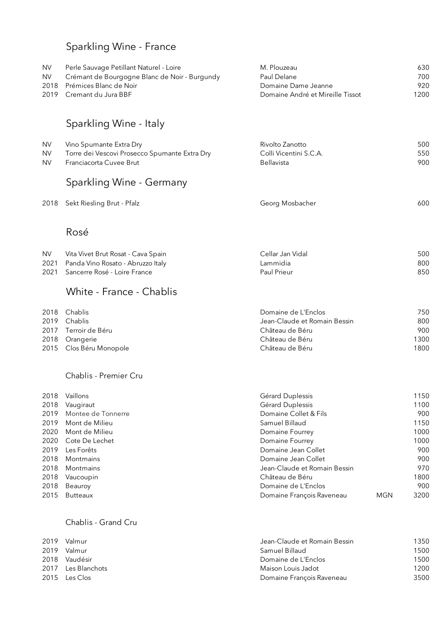# Sparkling Wine - France

| NV.<br><b>NV</b><br>2018<br>2019    | Perle Sauvage Petillant Naturel - Loire<br>Crémant de Bourgogne Blanc de Noir - Burgundy<br>Prémices Blanc de Noir<br>Cremant du Jura BBF<br>Sparkling Wine - Italy | M. Plouzeau<br>Paul Delane<br>Domaine Dame Jeanne<br>Domaine André et Mireille Tissot | 630<br>700<br>920<br>1200 |
|-------------------------------------|---------------------------------------------------------------------------------------------------------------------------------------------------------------------|---------------------------------------------------------------------------------------|---------------------------|
| <b>NV</b><br><b>NV</b><br><b>NV</b> | Vino Spumante Extra Dry<br>Torre dei Vescovi Prosecco Spumante Extra Dry<br>Franciacorta Cuvee Brut                                                                 | Rivolto Zanotto<br>Colli Vicentini S.C.A.<br>Bellavista                               | 500<br>550<br>900         |
| 2018                                | Sparkling Wine - Germany<br>Sekt Riesling Brut - Pfalz                                                                                                              | Georg Mosbacher                                                                       | 600                       |

### Rosé

| <b>NV</b> | Vita Vivet Brut Rosat - Cava Spain     | Cellar Jan Vidal | 500 |
|-----------|----------------------------------------|------------------|-----|
|           | 2021 Panda Vino Rosato - Abruzzo Italy | Lammidia         | 800 |
|           | 2021 Sancerre Rosé - Loire France      | Paul Prieur      | 850 |

# White - France - Chablis

| 2018 Chablis            | Domaine de L'Enclos          | 750  |
|-------------------------|------------------------------|------|
| 2019 Chablis            | Jean-Claude et Romain Bessin | 800  |
| 2017 Terroir de Béru    | Château de Béru              | 900  |
| 2018 Orangerie          | Château de Béru              | 1300 |
| 2015 Clos Béru Monopole | Château de Béru              | 1800 |

#### Chablis - Premier Cru

| 2018 | Vaillons            | Gérard Duplessis             |            | 1150 |
|------|---------------------|------------------------------|------------|------|
| 2018 | Vaugiraut           | Gérard Duplessis             |            | 1100 |
| 2019 | Montee de Tonnerre  | Domaine Collet & Fils        |            | 900  |
| 2019 | Mont de Milieu      | Samuel Billaud               |            | 1150 |
| 2020 | Mont de Milieu      | Domaine Fourrey              |            | 1000 |
|      | 2020 Cote De Lechet | Domaine Fourrey              |            | 1000 |
| 2019 | Les Forêts          | Domaine Jean Collet          |            | 900  |
| 2018 | Montmains           | Domaine Jean Collet          |            | 900  |
| 2018 | Montmains           | Jean-Claude et Romain Bessin |            | 970  |
| 2018 | Vaucoupin           | Château de Béru              |            | 1800 |
| 2018 | Beauroy             | Domaine de L'Enclos          |            | 900  |
| 2015 | <b>Butteaux</b>     | Domaine François Raveneau    | <b>MGN</b> | 3200 |

#### Chablis - Grand Cru

| 2019 | Valmur             | Jean-Claude et Romain Bessin | 1350 |
|------|--------------------|------------------------------|------|
| 2019 | Valmur             | -Samuel Billaud              | 1500 |
|      | 2018 Vaudésir      | Domaine de L'Enclos          | 1500 |
|      | 2017 Les Blanchots | Maison Louis Jadot           | 1200 |
|      | 2015 Les Clos      | Domaine François Raveneau    | 3500 |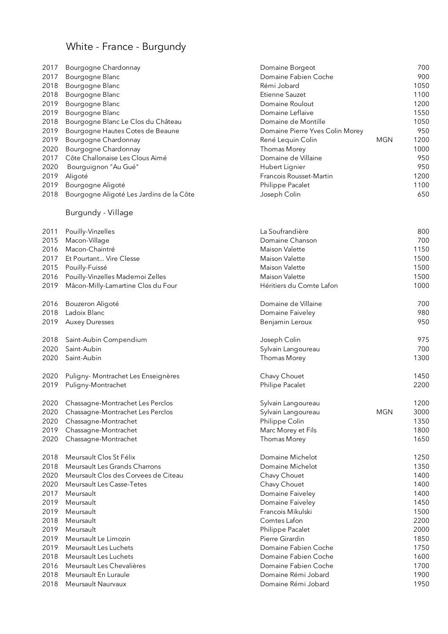# White - France - Burgundy

| 2017 | Bourgogne Chardonnay                     | Domaine Borgeot                 |            | 700  |
|------|------------------------------------------|---------------------------------|------------|------|
| 2017 | Bourgogne Blanc                          | Domaine Fabien Coche            |            | 900  |
| 2018 | Bourgogne Blanc                          | Rémi Jobard                     |            | 1050 |
| 2018 | Bourgogne Blanc                          | Etienne Sauzet                  |            | 1100 |
| 2019 | Bourgogne Blanc                          | Domaine Roulout                 |            | 1200 |
| 2019 | Bourgogne Blanc                          | Domaine Leflaive                |            | 1550 |
| 2018 | Bourgogne Blanc Le Clos du Château       | Domaine de Montille             |            | 1050 |
| 2019 | Bourgogne Hautes Cotes de Beaune         | Domaine Pierre Yves Colin Morey |            | 950  |
| 2019 | Bourgogne Chardonnay                     | René Lequin Colin               | <b>MGN</b> | 1200 |
| 2020 | Bourgogne Chardonnay                     | Thomas Morey                    |            | 1000 |
| 2017 | Côte Challonaise Les Clous Aimé          | Domaine de Villaine             |            | 950  |
| 2020 | Bourguignon "Au Gué"                     | Hubert Lignier                  |            | 950  |
| 2019 | Aligoté                                  | Francois Rousset-Martin         |            | 1200 |
| 2019 | Bourgogne Aligoté                        | Philippe Pacalet                |            | 1100 |
| 2018 | Bourgogne Aligoté Les Jardins de la Côte | Joseph Colin                    |            | 650  |
|      | Burgundy - Village                       |                                 |            |      |
| 2011 | Pouilly-Vinzelles                        | La Soufrandière                 |            | 800  |
| 2015 | Macon-Village                            | Domaine Chanson                 |            | 700  |
| 2016 | Macon-Chaintré                           | <b>Maison Valette</b>           |            | 1150 |
| 2017 | Et Pourtant Vire Clesse                  | Maison Valette                  |            | 1500 |
| 2015 | Pouilly-Fuissé                           | Maison Valette                  |            | 1500 |
| 2016 | Pouilly-Vinzelles Mademoi Zelles         | Maison Valette                  |            | 1500 |
| 2019 | Mâcon-Milly-Lamartine Clos du Four       | Héritiers du Comte Lafon        |            | 1000 |
| 2016 | Bouzeron Aligoté                         | Domaine de Villaine             |            | 700  |
| 2018 | Ladoix Blanc                             | Domaine Faiveley                |            | 980  |
| 2019 | <b>Auxey Duresses</b>                    | Benjamin Leroux                 |            | 950  |
| 2018 | Saint-Aubin Compendium                   | Joseph Colin                    |            | 975  |
| 2020 | Saint-Aubin                              | Sylvain Langoureau              |            | 700  |
| 2020 | Saint-Aubin                              | Thomas Morey                    |            | 1300 |
| 2020 | Puligny- Montrachet Les Enseignères      | Chavy Chouet                    |            | 1450 |
| 2019 | Puligny-Montrachet                       | Philipe Pacalet                 |            | 2200 |
|      | 2020 Chassagne-Montrachet Les Perclos    | Sylvain Langoureau              |            | 1200 |
| 2020 | Chassagne-Montrachet Les Perclos         | Sylvain Langoureau              | <b>MGN</b> | 3000 |
| 2020 | Chassagne-Montrachet                     | Philippe Colin                  |            | 1350 |
| 2019 | Chassagne-Montrachet                     | Marc Morey et Fils              |            | 1800 |
| 2020 | Chassagne-Montrachet                     | Thomas Morey                    |            | 1650 |
| 2018 | Meursault Clos St Félix                  | Domaine Michelot                |            | 1250 |
| 2018 | Meursault Les Grands Charrons            | Domaine Michelot                |            | 1350 |
| 2020 | Meursault Clos des Corvees de Citeau     | Chavy Chouet                    |            | 1400 |
| 2020 | Meursault Les Casse-Tetes                | Chavy Chouet                    |            | 1400 |
| 2017 | Meursault                                | Domaine Faiveley                |            | 1400 |
| 2019 | Meursault                                | Domaine Faiveley                |            | 1450 |
| 2019 | Meursault                                | Francois Mikulski               |            | 1500 |
| 2018 | Meursault                                | Comtes Lafon                    |            | 2200 |
| 2019 | Meursault                                | Philippe Pacalet                |            | 2000 |
| 2019 | Meursault Le Limozin                     | Pierre Girardin                 |            | 1850 |
| 2019 | Meursault Les Luchets                    | Domaine Fabien Coche            |            | 1750 |
| 2018 | Meursault Les Luchets                    | Domaine Fabien Coche            |            | 1600 |
| 2016 | Meursault Les Chevalières                | Domaine Fabien Coche            |            | 1700 |
| 2018 | Meursault En Luraule                     | Domaine Rémi Jobard             |            | 1900 |
| 2018 | Meursault Naurvaux                       | Domaine Rémi Jobard             |            | 1950 |
|      |                                          |                                 |            |      |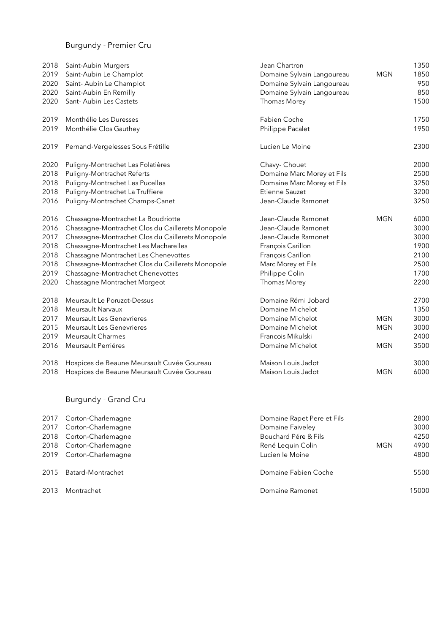### Burgundy - Premier Cru

| 2018 | Saint-Aubin Murgers                              | Jean Chartron              |            | 1350 |
|------|--------------------------------------------------|----------------------------|------------|------|
| 2019 | Saint-Aubin Le Champlot                          | Domaine Sylvain Langoureau | <b>MGN</b> | 1850 |
| 2020 | Saint-Aubin Le Champlot                          | Domaine Sylvain Langoureau |            | 950  |
| 2020 | Saint-Aubin En Remilly                           | Domaine Sylvain Langoureau |            | 850  |
| 2020 | Sant-Aubin Les Castets                           | Thomas Morey               |            | 1500 |
| 2019 | Monthélie Les Duresses                           | Fabien Coche               |            | 1750 |
| 2019 | Monthélie Clos Gauthey                           | Philippe Pacalet           |            | 1950 |
| 2019 | Pernand-Vergelesses Sous Frétille                | Lucien Le Moine            |            | 2300 |
| 2020 | Puligny-Montrachet Les Folatières                | Chavy- Chouet              |            | 2000 |
| 2018 | Puligny-Montrachet Referts                       | Domaine Marc Morey et Fils |            | 2500 |
| 2018 | Puligny-Montrachet Les Pucelles                  | Domaine Marc Morey et Fils |            | 3250 |
| 2018 | Puligny-Montrachet La Truffiere                  | Etienne Sauzet             |            | 3200 |
| 2016 | Puligny-Montrachet Champs-Canet                  | Jean-Claude Ramonet        |            | 3250 |
| 2016 | Chassagne-Montrachet La Boudriotte               | Jean-Claude Ramonet        | <b>MGN</b> | 6000 |
| 2016 | Chassagne-Montrachet Clos du Caillerets Monopole | Jean-Claude Ramonet        |            | 3000 |
| 2017 | Chassagne-Montrachet Clos du Caillerets Monopole | Jean-Claude Ramonet        |            | 3000 |
| 2018 | Chassagne-Montrachet Les Macharelles             | François Carillon          |            | 1900 |
| 2018 | Chassagne Montrachet Les Chenevottes             | François Carillon          |            | 2100 |
| 2018 | Chassagne-Montrachet Clos du Caillerets Monopole | Marc Morey et Fils         |            | 2500 |
| 2019 | Chassagne-Montrachet Chenevottes                 | Philippe Colin             |            | 1700 |
| 2020 | Chassagne Montrachet Morgeot                     | Thomas Morey               |            | 2200 |
| 2018 | Meursault Le Poruzot-Dessus                      | Domaine Rémi Jobard        |            | 2700 |
| 2018 | Meursault Narvaux                                | Domaine Michelot           |            | 1350 |
| 2017 | <b>Meursault Les Genevrieres</b>                 | Domaine Michelot           | <b>MGN</b> | 3000 |
| 2015 | <b>Meursault Les Genevrieres</b>                 | Domaine Michelot           | <b>MGN</b> | 3000 |
| 2019 | <b>Meursault Charmes</b>                         | Francois Mikulski          |            | 2400 |
| 2016 | Meursault Perriéres                              | Domaine Michelot           | <b>MGN</b> | 3500 |
| 2018 | Hospices de Beaune Meursault Cuvée Goureau       | Maison Louis Jadot         |            | 3000 |
| 2018 | Hospices de Beaune Meursault Cuvée Goureau       | Maison Louis Jadot         | <b>MGN</b> | 6000 |
|      |                                                  |                            |            |      |

### Burgundy - Grand Cru

|      | 2017 Corton-Charlemagne | Domaine Rapet Pere et Fils |     | 2800  |
|------|-------------------------|----------------------------|-----|-------|
| 2017 | Corton-Charlemagne      | Domaine Faiveley           |     | 3000  |
|      | 2018 Corton-Charlemagne | Bouchard Pére & Fils       |     | 4250  |
|      | 2018 Corton-Charlemagne | René Lequin Colin          | MGN | 4900  |
|      | 2019 Corton-Charlemagne | Lucien le Moine            |     | 4800  |
| 2015 | Batard-Montrachet       | Domaine Fabien Coche       |     | 5500  |
| 2013 | Montrachet              | Domaine Ramonet            |     | 15000 |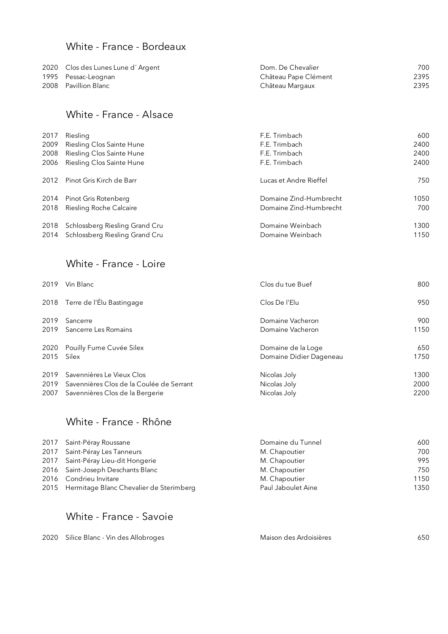### White - France - Bordeaux

| 2020 Clos des Lunes Lune d'Argent | Dom. De Chevalier    | 700  |
|-----------------------------------|----------------------|------|
| 1995 Pessac-Leognan               | Château Pape Clément | 2395 |
| 2008 Pavillion Blanc              | Château Margaux      | 2395 |

### White - France - Alsace

| 2017 | Riesling                       | F.E. Trimbach          | 600  |
|------|--------------------------------|------------------------|------|
| 2009 | Riesling Clos Sainte Hune      | F.E. Trimbach          | 2400 |
| 2008 | Riesling Clos Sainte Hune      | F.E. Trimbach          | 2400 |
| 2006 | Riesling Clos Sainte Hune      | F.E. Trimbach          | 2400 |
|      |                                |                        |      |
| 2012 | Pinot Gris Kirch de Barr       | Lucas et Andre Rieffel | 750  |
| 2014 | Pinot Gris Rotenberg           | Domaine Zind-Humbrecht | 1050 |
|      |                                |                        |      |
| 2018 | Riesling Roche Calcaire        | Domaine Zind-Humbrecht | 700  |
| 2018 | Schlossberg Riesling Grand Cru | Domaine Weinbach       | 1300 |
|      |                                |                        |      |
| 2014 | Schlossberg Riesling Grand Cru | Domaine Weinbach       | 1150 |

### White - France - Loire

| 2019 | Vin Blanc                                | Clos du tue Buef        | 800  |
|------|------------------------------------------|-------------------------|------|
| 2018 | Terre de l'Élu Bastingage                | Clos De l'Elu           | 950  |
| 2019 | Sancerre                                 | Domaine Vacheron        | 900  |
| 2019 | Sancerre Les Romains                     | Domaine Vacheron        | 1150 |
| 2020 | Pouilly Fume Cuvée Silex                 | Domaine de la Loge      | 650  |
| 2015 | Silex                                    | Domaine Didier Dageneau | 1750 |
| 2019 | Savennières Le Vieux Clos                | Nicolas Joly            | 1300 |
| 2019 | Savennières Clos de la Coulée de Serrant | Nicolas Joly            | 2000 |
| 2007 | Savennières Clos de la Bergerie          | Nicolas Joly            | 2200 |

### White - France - Rhône

| 2017 Saint-Péray Roussane                    | Domaine du Tunnel  | 600  |
|----------------------------------------------|--------------------|------|
| 2017 Saint-Péray Les Tanneurs                | M. Chapoutier      | 700  |
| 2017 Saint-Péray Lieu-dit Hongerie           | M. Chapoutier      | 995  |
| 2016 Saint-Joseph Deschants Blanc            | M. Chapoutier      | 750  |
| 2016 Condrieu Invitare                       | M. Chapoutier      | 1150 |
| 2015 Hermitage Blanc Chevalier de Sterimberg | Paul Jaboulet Aine | 1350 |

### White - France - Savoie

| 2020 Silice Blanc - Vin des Allobroges | Maison des Ardoisières | 650 |
|----------------------------------------|------------------------|-----|
|----------------------------------------|------------------------|-----|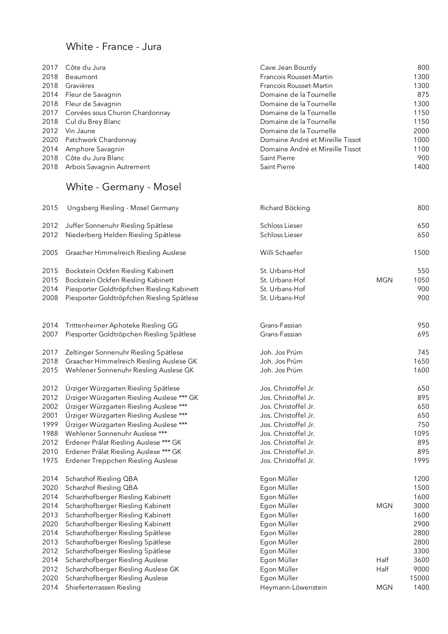### White - France - Jura

| 2017 | Côte du Jura                        | Cave Jean Bourdy                 | 800  |
|------|-------------------------------------|----------------------------------|------|
| 2018 | Beaumont                            | Francois Rousset-Martin          | 1300 |
| 2018 | Gravières                           | Francois Rousset-Martin          | 1300 |
|      | 2014 Fleur de Savagnin              | Domaine de la Tournelle          | 875  |
|      | 2018 Fleur de Savagnin              | Domaine de la Tournelle          | 1300 |
|      | 2017 Corvées sous Churon Chardonnay | Domaine de la Tournelle          | 1150 |
|      | 2018 Cul du Brey Blanc              | Domaine de la Tournelle          | 1150 |
| 2012 | Vin Jaune                           | Domaine de la Tournelle          | 2000 |
| 2020 | Patchwork Chardonnay                | Domaine André et Mireille Tissot | 1000 |
| 2014 | Amphore Savagnin                    | Domaine André et Mireille Tissot | 1100 |
|      | 2018 Côte du Jura Blanc             | Saint Pierre                     | 900  |
|      | 2018 Arbois Savagnin Autrement      | Saint Pierre                     | 1400 |

# White - Germany - Mosel

| 2015 | Ungsberg Riesling - Mosel Germany          | Richard Böcking      |            | 800   |
|------|--------------------------------------------|----------------------|------------|-------|
| 2012 | Juffer Sonnenuhr Riesling Spätlese         | Schloss Lieser       |            | 650   |
| 2012 | Niederberg Helden Riesling Spätlese        | Schloss Lieser       |            | 650   |
| 2005 | Graacher Himmelreich Riesling Auslese      | Willi Schaefer       |            | 1500  |
| 2015 | Bockstein Ockfen Riesling Kabinett         | St. Urbans-Hof       |            | 550   |
| 2015 | Bockstein Ockfen Riesling Kabinett         | St. Urbans-Hof       | <b>MGN</b> | 1050  |
| 2014 | Piesporter Goldtröpfchen Riesling Kabinett | St. Urbans-Hof       |            | 900   |
| 2008 | Piesporter Goldtröpfchen Riesling Spätlese | St. Urbans-Hof       |            | 900   |
| 2014 | Trittenheimer Aphoteke Riesling GG         | Grans-Fassian        |            | 950   |
| 2007 | Piesporter Goldtröpchen Riesling Spätlese  | Grans-Fassian        |            | 695   |
| 2017 | Zeltinger Sonnenuhr Riesling Spätlese      | Joh. Jos Prüm        |            | 745   |
| 2018 | Graacher Himmelreich Riesling Auslese GK   | Joh. Jos Prüm        |            | 1650  |
| 2015 | Wehlener Sonnenuhr Riesling Auslese GK     | Joh. Jos Prüm        |            | 1600  |
| 2012 | Ürziger Würzgarten Riesling Spätlese       | Jos. Christoffel Jr. |            | 650   |
| 2012 | Ürziger Würzgarten Riesling Auslese *** GK | Jos. Christoffel Jr. |            | 895   |
| 2002 | Ürziger Würzgarten Riesling Auslese ***    | Jos. Christoffel Jr. |            | 650   |
| 2001 | Ürziger Würzgarten Riesling Auslese ***    | Jos. Christoffel Jr. |            | 650   |
| 1999 | Ürziger Würzgarten Riesling Auslese ***    | Jos. Christoffel Jr. |            | 750   |
| 1988 | Wehlener Sonnenuhr Auslese ***             | Jos. Christoffel Jr. |            | 1095  |
| 2012 | Erdener Prâlat Riesling Auslese *** GK     | Jos. Christoffel Jr. |            | 895   |
| 2010 | Erdener Prâlat Riesling Auslese *** GK     | Jos. Christoffel Jr. |            | 895   |
| 1975 | Erdener Treppchen Riesling Auslese         | Jos. Christoffel Jr. |            | 1995  |
| 2014 | Scharzhof Riesling QBA                     | Egon Müller          |            | 1200  |
| 2020 | Scharzhof Riesling QBA                     | Egon Müller          |            | 1500  |
| 2014 | Scharzhofberger Riesling Kabinett          | Egon Müller          |            | 1600  |
| 2014 | Scharzhofberger Riesling Kabinett          | Egon Müller          | <b>MGN</b> | 3000  |
| 2013 | Scharzhofberger Riesling Kabinett          | Egon Müller          |            | 1600  |
| 2020 | Scharzhofberger Riesling Kabinett          | Egon Müller          |            | 2900  |
| 2014 | Scharzhofberger Riesling Spätlese          | Egon Müller          |            | 2800  |
| 2013 | Scharzhofberger Riesling Spätlese          | Egon Müller          |            | 2800  |
| 2012 | Scharzhofberger Riesling Spätlese          | Egon Müller          |            | 3300  |
| 2014 | Scharzhofberger Riesling Auslese           | Egon Müller          | Half       | 3600  |
| 2012 | Scharzhofberger Riesling Auslese GK        | Egon Müller          | Half       | 9000  |
| 2020 | Scharzhofberger Riesling Auslese           | Egon Müller          |            | 15000 |
| 2014 | Shieferterrassen Riesling                  | Heymann-Löwenstein   | <b>MGN</b> | 1400  |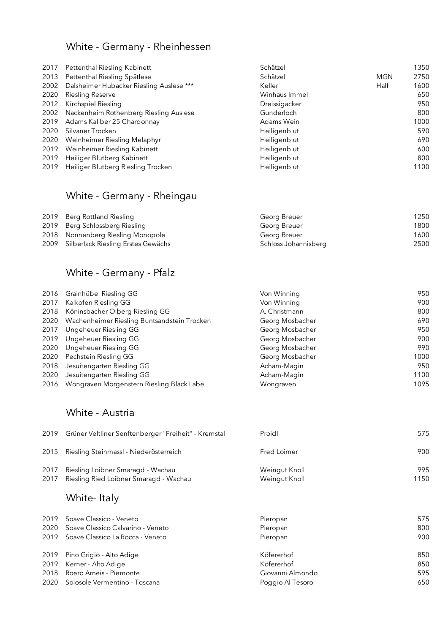### White - Germany - Rheinhessen

| 2017 | Pettenthal Riesling Kabinett             | Schätzel      |            | 1350 |
|------|------------------------------------------|---------------|------------|------|
| 2013 | Pettenthal Riesling Spätlese             | Schätzel      | <b>MGN</b> | 2750 |
| 2002 | Dalsheimer Hubacker Riesling Auslese *** | Keller        | Half       | 1600 |
| 2020 | <b>Riesling Reserve</b>                  | Winhaus Immel |            | 650  |
| 2012 | Kirchspiel Riesling                      | Dreissigacker |            | 950  |
| 2002 | Nackenheim Rothenberg Riesling Auslese   | Gunderloch    |            | 800  |
| 2019 | Adams Kaliber 25 Chardonnay              | Adams Wein    |            | 1000 |
| 2020 | Silvaner Trocken                         | Heiligenblut  |            | 590  |
| 2020 | Weinheimer Riesling Melaphyr             | Heiligenblut  |            | 690  |
| 2019 | Weinheimer Riesling Kabinett             | Heiligenblut  |            | 600  |
| 2019 | Heiliger Blutberg Kabinett               | Heiligenblut  |            | 800  |
| 2019 | Heiliger Blutberg Riesling Trocken       | Heiligenblut  |            | 1100 |
|      |                                          |               |            |      |

### White - Germany - Rheingau

| 2019 Berg Rottland Riesling             | Georg Breuer         | 1250 |
|-----------------------------------------|----------------------|------|
| 2019 Berg Schlossberg Riesling          | Georg Breuer         | 1800 |
| 2018 Nonnenberg Riesling Monopole       | Georg Breuer         | 1600 |
| 2009 Silberlack Riesling Erstes Gewächs | Schloss Johannisberg | 2500 |

### White - Germany - Pfalz

| 2016 | Grainhübel Riesling GG                      | Von Winning     | 950  |
|------|---------------------------------------------|-----------------|------|
| 2017 | Kalkofen Riesling GG                        | Von Winning     | 900  |
| 2018 | Köninsbacher Ölberg Riesling GG             | A. Christmann   | 800  |
| 2020 | Wachenheimer Riesling Buntsandstein Trocken | Georg Mosbacher | 690  |
| 2017 | Ungeheuer Riesling GG                       | Georg Mosbacher | 950  |
| 2019 | <b>Ungeheuer Riesling GG</b>                | Georg Mosbacher | 900  |
| 2020 | Ungeheuer Riesling GG                       | Georg Mosbacher | 990  |
|      | 2020 Pechstein Riesling GG                  | Georg Mosbacher | 1000 |
|      | 2018 Jesuitengarten Riesling GG             | Acham-Magin     | 950  |
| 2020 | Jesuitengarten Riesling GG                  | Acham-Magin     | 1100 |
| 2016 | Wongraven Morgenstern Riesling Black Label  | Wongraven       | 1095 |

### White - Austria

|      | 2019 Grüner Veltliner Senftenberger "Freiheit" - Kremstal                        | Proidl                         | 575         |
|------|----------------------------------------------------------------------------------|--------------------------------|-------------|
|      | 2015 Riesling Steinmassl - Niederösterreich                                      | Fred Loimer                    | 900         |
| 2017 | Riesling Loibner Smaragd - Wachau<br>2017 Riesling Ried Loibner Smaragd - Wachau | Weingut Knoll<br>Weingut Knoll | 995<br>1150 |

### White- Italy

| 2020 | 2019 Soave Classico - Veneto          | Pieropan         | 575 |
|------|---------------------------------------|------------------|-----|
|      | Soave Classico Calvarino - Veneto     | Pieropan         | 800 |
|      | 2019 Soave Classico La Rocca - Veneto | Pieropan         | 900 |
| 2018 | 2019 Pino Grigio - Alto Adige         | Köfererhof       | 850 |
|      | 2019 Kerner - Alto Adige              | Köfererhof       | 850 |
|      | Roero Arneis - Piemonte               | Giovanni Almondo | 595 |
|      | 2020 Solosole Vermentino - Toscana    | Poggio Al Tesoro | 650 |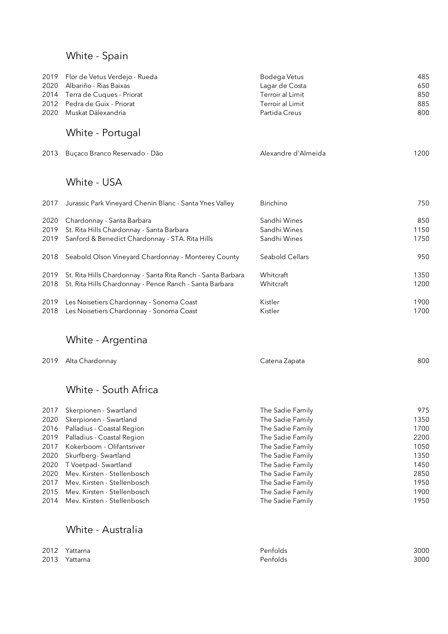# White - Spain

| 2019 Flor de Vetus Verdejo - Rueda | Bodega Vetus     | 485 |
|------------------------------------|------------------|-----|
| 2020 Albariño - Rias Baixas        | Lagar de Costa   | 650 |
| 2014 Terra de Cuques - Priorat     | Terroir al Limit | 850 |
| 2012 Pedra de Guix - Priorat       | Terroir al Limit | 885 |
| 2020 Muskat Dálexandria            | Partida Creus    | 800 |
|                                    |                  |     |

# White - Portugal

| 2013 Buçaco Branco Reservado - Dão | Alexandre d'Almeida | 1200 |
|------------------------------------|---------------------|------|
|                                    |                     |      |

### White - USA

| 2017 | Jurassic Park Vineyard Chenin Blanc - Santa Ynes Valley      | <b>Birichino</b> | 750  |
|------|--------------------------------------------------------------|------------------|------|
| 2020 | Chardonnay - Santa Barbara                                   | Sandhi Wines     | 850  |
| 2019 | St. Rita Hills Chardonnay - Santa Barbara                    | Sandhi Wines     | 1150 |
| 2019 | Sanford & Benedict Chardonnay - STA. Rita Hills              | Sandhi Wines     | 1750 |
| 2018 | Seabold Olson Vineyard Chardonnay - Monterey County          | Seabold Cellars  | 950  |
| 2019 | St. Rita Hills Chardonnay - Santa Rita Ranch - Santa Barbara | Whitcraft        | 1350 |
| 2018 | St. Rita Hills Chardonnay - Pence Ranch - Santa Barbara      | Whitcraft        | 1200 |
| 2019 | Les Noisetiers Chardonnay - Sonoma Coast                     | Kistler          | 1900 |
| 2018 | Les Noisetiers Chardonnay - Sonoma Coast                     | Kistler          | 1700 |

### White - Argentina

|  | 2019 Alta Chardonnay | Catena Zapata | 800 |
|--|----------------------|---------------|-----|
|--|----------------------|---------------|-----|

### White - South Africa

| 2017 | Skerpionen - Swartland           | The Sadie Family | 975  |
|------|----------------------------------|------------------|------|
| 2020 | Skerpionen - Swartland           | The Sadie Family | 1350 |
|      | 2016 Palladius - Coastal Region  | The Sadie Family | 1700 |
|      | 2019 Palladius - Coastal Region  | The Sadie Family | 2200 |
| 2017 | Kokerboom - Olifantsriver        | The Sadie Family | 1050 |
|      | 2020 Skurfberg-Swartland         | The Sadie Family | 1350 |
|      | 2020 T Voetpad- Swartland        | The Sadie Family | 1450 |
| 2020 | Mev. Kirsten - Stellenbosch      | The Sadie Family | 2850 |
| 2017 | Mev. Kirsten - Stellenbosch      | The Sadie Family | 1950 |
| 2015 | Mev. Kirsten - Stellenbosch      | The Sadie Family | 1900 |
|      | 2014 Mev. Kirsten - Stellenbosch | The Sadie Family | 1950 |

### White - Australia

| 2012 | Yattarna      | Penfolds | 3000 |
|------|---------------|----------|------|
|      | 2013 Yattarna | Penfolds | 3000 |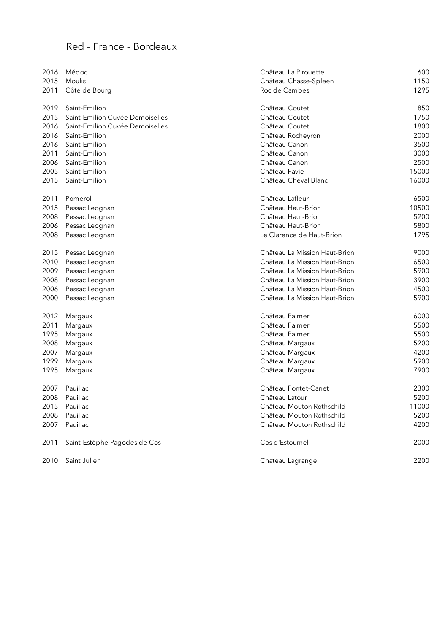### Red - France - Bordeaux

| 2016 | Médoc                           | Château La Pirouette          | 600   |
|------|---------------------------------|-------------------------------|-------|
| 2015 | Moulis                          | Château Chasse-Spleen         | 1150  |
| 2011 | Côte de Bourg                   | Roc de Cambes                 | 1295  |
| 2019 | Saint-Emilion                   | Château Coutet                | 850   |
| 2015 | Saint-Emilion Cuvée Demoiselles | Château Coutet                | 1750  |
| 2016 | Saint-Emilion Cuvée Demoiselles | Château Coutet                | 1800  |
| 2016 | Saint-Emilion                   | Château Rocheyron             | 2000  |
| 2016 | Saint-Emilion                   | Château Canon                 | 3500  |
| 2011 | Saint-Emilion                   | Château Canon                 | 3000  |
| 2006 | Saint-Emilion                   | Château Canon                 | 2500  |
| 2005 | Saint-Emilion                   | Château Pavie                 | 15000 |
| 2015 | Saint-Emilion                   | Château Cheval Blanc          | 16000 |
| 2011 | Pomerol                         | Château Lafleur               | 6500  |
| 2015 | Pessac Leognan                  | Château Haut-Brion            | 10500 |
| 2008 | Pessac Leognan                  | Château Haut-Brion            | 5200  |
| 2006 | Pessac Leognan                  | Château Haut-Brion            | 5800  |
| 2008 | Pessac Leognan                  | Le Clarence de Haut-Brion     | 1795  |
| 2015 | Pessac Leognan                  | Château La Mission Haut-Brion | 9000  |
| 2010 | Pessac Leognan                  | Château La Mission Haut-Brion | 6500  |
| 2009 | Pessac Leognan                  | Château La Mission Haut-Brion | 5900  |
| 2008 | Pessac Leognan                  | Château La Mission Haut-Brion | 3900  |
| 2006 | Pessac Leognan                  | Château La Mission Haut-Brion | 4500  |
| 2000 | Pessac Leognan                  | Château La Mission Haut-Brion | 5900  |
| 2012 | Margaux                         | Château Palmer                | 6000  |
| 2011 | Margaux                         | Château Palmer                | 5500  |
| 1995 | Margaux                         | Château Palmer                | 5500  |
| 2008 | Margaux                         | Château Margaux               | 5200  |
| 2007 | Margaux                         | Château Margaux               | 4200  |
| 1999 | Margaux                         | Château Margaux               | 5900  |
| 1995 | Margaux                         | Château Margaux               | 7900  |
| 2007 | Pauillac                        | Château Pontet-Canet          | 2300  |
| 2008 | Pauillac                        | Château Latour                | 5200  |
| 2015 | Pauillac                        | Château Mouton Rothschild     | 11000 |
| 2008 | Pauillac                        | Château Mouton Rothschild     | 5200  |
| 2007 | Pauillac                        | Château Mouton Rothschild     | 4200  |
| 2011 | Saint-Estèphe Pagodes de Cos    | Cos d'Estournel               | 2000  |
| 2010 | Saint Julien                    | Chateau Lagrange              | 2200  |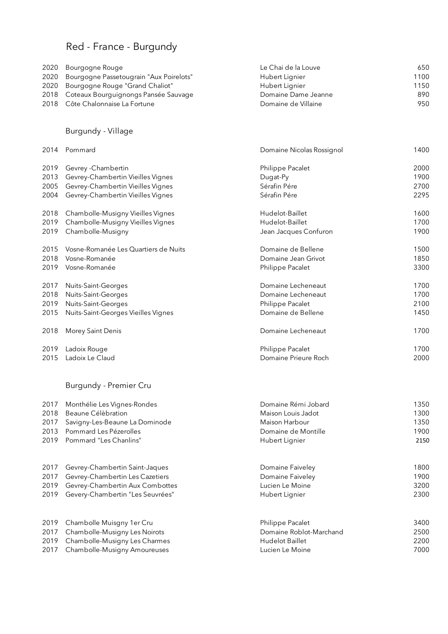# Red - France - Burgundy

| 2020 Bourgogne Rouge                         | Le Chai de la Louve | 650  |
|----------------------------------------------|---------------------|------|
| 2020 Bourgogne Passetougrain "Aux Poirelots" | Hubert Lignier      | 1100 |
| 2020 Bourgogne Rouge "Grand Chaliot"         | Hubert Lignier      | 1150 |
| 2018 Coteaux Bourguignongs Pansée Sauvage    | Domaine Dame Jeanne | 890  |
| 2018 Côte Chalonnaise La Fortune             | Domaine de Villaine | 950  |

### Burgundy - Village

| 2014 | Pommard                              | Domaine Nicolas Rossignol | 1400 |
|------|--------------------------------------|---------------------------|------|
| 2019 | Gevrey - Chambertin                  | Philippe Pacalet          | 2000 |
| 2013 | Gevrey-Chambertin Vieilles Vignes    | Dugat-Py                  | 1900 |
| 2005 | Gevrey-Chambertin Vieilles Vignes    | Sérafin Pére              | 2700 |
| 2004 | Gevrey-Chambertin Vieilles Vignes    | Sérafin Pére              | 2295 |
| 2018 | Chambolle-Musigny Vieilles Vignes    | Hudelot-Baillet           | 1600 |
| 2019 | Chambolle-Musigny Vieilles Vignes    | Hudelot-Baillet           | 1700 |
| 2019 | Chambolle-Musigny                    | Jean Jacques Confuron     | 1900 |
| 2015 | Vosne-Romanée Les Quartiers de Nuits | Domaine de Bellene        | 1500 |
| 2018 | Vosne-Romanée                        | Domaine Jean Grivot       | 1850 |
| 2019 | Vosne-Romanée                        | Philippe Pacalet          | 3300 |
| 2017 | Nuits-Saint-Georges                  | Domaine Lecheneaut        | 1700 |
| 2018 | Nuits-Saint-Georges                  | Domaine Lecheneaut        | 1700 |
| 2019 | Nuits-Saint-Georges                  | Philippe Pacalet          | 2100 |
| 2015 | Nuits-Saint-Georges Vieilles Vignes  | Domaine de Bellene        | 1450 |
| 2018 | Morey Saint Denis                    | Domaine Lecheneaut        | 1700 |
| 2019 | Ladoix Rouge                         | Philippe Pacalet          | 1700 |
| 2015 | Ladoix Le Claud                      | Domaine Prieure Roch      | 2000 |

### Burgundy - Premier Cru

| 2017 | Monthélie Les Vignes-Rondes      | Domaine Rémi Jobard     | 1350 |
|------|----------------------------------|-------------------------|------|
| 2018 | Beaune Célèbration               | Maison Louis Jadot      | 1300 |
| 2017 | Savigny-Les-Beaune La Dominode   | Maison Harbour          | 1350 |
| 2013 | Pommard Les Pézerolles           | Domaine de Montille     | 1900 |
| 2019 | Pommard "Les Chanlins"           | Hubert Lignier          | 2150 |
| 2017 | Gevrey-Chambertin Saint-Jaques   | Domaine Faiveley        | 1800 |
| 2017 | Gevrey-Chambertin Les Cazetiers  | Domaine Faiveley        | 1900 |
| 2019 | Gevrey-Chambertin Aux Combottes  | Lucien Le Moine         | 3200 |
| 2019 | Gevery-Chambertin "Les Seuvrées" | Hubert Lignier          | 2300 |
| 2019 | Chambolle Muisgny 1er Cru        | Philippe Pacalet        | 3400 |
| 2017 | Chambolle-Musigny Les Noirots    | Domaine Roblot-Marchand | 2500 |
| 2019 | Chambolle-Musigny Les Charmes    | <b>Hudelot Baillet</b>  | 2200 |
| 2017 | Chambolle-Musigny Amoureuses     | Lucien Le Moine         | 7000 |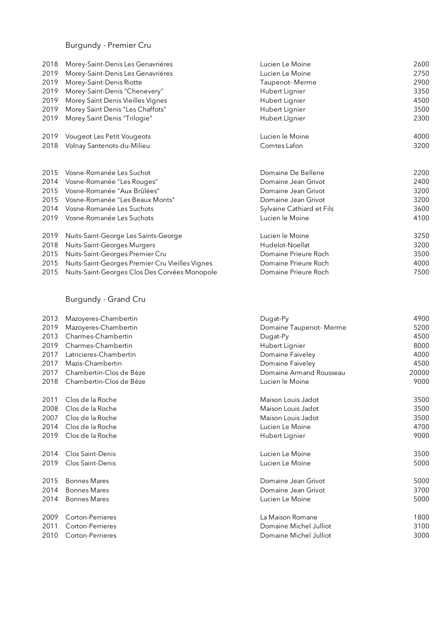### Burgundy - Premier Cru

| 2018 | Morey-Saint-Denis Les Genavriéres               | Lucien Le Moine           | 2600 |
|------|-------------------------------------------------|---------------------------|------|
| 2019 | Morey-Saint-Denis Les Genavriéres               | Lucien Le Moine           | 2750 |
| 2019 | Morey-Saint-Denis Riotte                        | Taupenot-Merme            | 2900 |
| 2019 | Morey-Saint-Denis "Chenevery"                   | Hubert Lignier            | 3350 |
| 2019 | Morey Saint Denis Vieilles Vignes               | Hubert Lignier            | 4500 |
| 2019 | Morey Saint Denis "Les Chaffots"                | Hubert Lignier            | 3500 |
| 2019 | Morey Saint Denis "Trilogie"                    | Hubert Lignier            | 2300 |
| 2019 | Vougeot Les Petit Vougeots                      | Lucien le Moine           | 4000 |
| 2018 | Volnay Santenots-du-Milieu                      | Comtes Lafon              | 3200 |
|      |                                                 |                           |      |
| 2015 | Vosne-Romanée Les Suchot                        | Domaine De Bellene        | 2200 |
| 2014 | Vosne-Romanée "Les Rouges"                      | Domaine Jean Grivot       | 2400 |
| 2015 | Vosne-Romanée "Aux Brûlèes"                     | Domaine Jean Grivot       | 3200 |
| 2015 | Vosne-Romanée "Les Beaux Monts"                 | Domaine Jean Grivot       | 3200 |
| 2014 | Vosne-Romanée Les Suchots                       | Sylvaine Cathiard et Fils | 3600 |
| 2019 | Vosne-Romanée Les Suchots                       | Lucien le Moine           | 4100 |
| 2019 | Nuits-Saint-George Les Saints-George            | Lucien le Moine           | 3250 |
| 2018 | Nuits-Saint-Georges Murgers                     | Hudelot-Noellat           | 3200 |
| 2015 | Nuits-Saint-Georges Premier Cru                 | Domaine Prieure Roch      | 3500 |
| 2015 | Nuits-Saint-Georges Premier Cru Vieilles Vignes | Domaine Prieure Roch      | 4000 |
| 2015 | Nuits-Saint-Georges Clos Des Corvées Monopole   | Domaine Prieure Roch      | 7500 |

### Burgundy - Grand Cru

| 2013 | Mazoyeres-Chambertin    | Dugat-Py                | 4900  |
|------|-------------------------|-------------------------|-------|
| 2019 | Mazoyeres-Chambertin    | Domaine Taupenot-Merme  | 5200  |
| 2013 | Charmes-Chambertin      | Dugat-Py                | 4500  |
| 2019 | Charmes-Chambertin      | Hubert Lignier          | 8000  |
| 2017 | Latricieres-Chambertin  | Domaine Faiveley        | 4000  |
| 2017 | Mazis-Chambertin        | Domaine Faiveley        | 4500  |
| 2017 | Chambertin-Clos de Bèze | Domaine Armand Rousseau | 20000 |
| 2018 | Chambertin-Clos de Bèze | Lucien le Moine         | 9000  |
| 2011 | Clos de la Roche        | Maison Louis Jadot      | 3500  |
| 2008 | Clos de la Roche        | Maison Louis Jadot      | 3500  |
| 2007 | Clos de la Roche        | Maison Louis Jadot      | 3500  |
| 2014 | Clos de la Roche        | Lucien Le Moine         | 4700  |
| 2019 | Clos de la Roche        | Hubert Lignier          | 9000  |
| 2014 | Clos Saint-Denis        | Lucien Le Moine         | 3500  |
| 2019 | Clos Saint-Denis        | Lucien Le Moine         | 5000  |
| 2015 | <b>Bonnes Mares</b>     | Domaine Jean Grivot     | 5000  |
| 2014 | <b>Bonnes Mares</b>     | Domaine Jean Grivot     | 3700  |
| 2014 | <b>Bonnes Mares</b>     | Lucien Le Moine         | 5000  |
| 2009 | Corton-Perrieres        | La Maison Romane        | 1800  |
| 2011 | Corton-Perrieres        | Domaine Michel Julliot  | 3100  |
| 2010 | Corton-Perrieres        | Domaine Michel Julliot  | 3000  |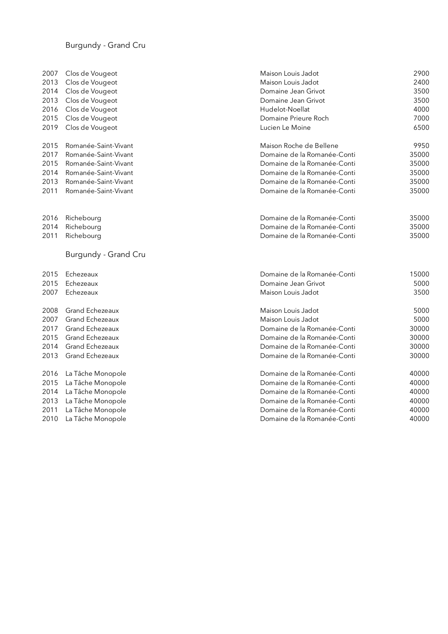#### Burgundy - Grand Cru

| 2007 | Clos de Vougeot        | Maison Louis Jadot          | 2900  |
|------|------------------------|-----------------------------|-------|
| 2013 | Clos de Vougeot        | Maison Louis Jadot          | 2400  |
| 2014 | Clos de Vougeot        | Domaine Jean Grivot         | 3500  |
| 2013 | Clos de Vougeot        | Domaine Jean Grivot         | 3500  |
| 2016 | Clos de Vougeot        | Hudelot-Noellat             | 4000  |
| 2015 | Clos de Vougeot        | Domaine Prieure Roch        | 7000  |
| 2019 | Clos de Vougeot        | Lucien Le Moine             | 6500  |
| 2015 | Romanée-Saint-Vivant   | Maison Roche de Bellene     | 9950  |
| 2017 | Romanée-Saint-Vivant   | Domaine de la Romanée-Conti | 35000 |
| 2015 | Romanée-Saint-Vivant   | Domaine de la Romanée-Conti | 35000 |
| 2014 | Romanée-Saint-Vivant   | Domaine de la Romanée-Conti | 35000 |
| 2013 | Romanée-Saint-Vivant   | Domaine de la Romanée-Conti | 35000 |
| 2011 | Romanée-Saint-Vivant   | Domaine de la Romanée-Conti | 35000 |
| 2016 | Richebourg             | Domaine de la Romanée-Conti | 35000 |
| 2014 | Richebourg             | Domaine de la Romanée-Conti | 35000 |
| 2011 | Richebourg             | Domaine de la Romanée-Conti | 35000 |
|      | Burgundy - Grand Cru   |                             |       |
| 2015 | Echezeaux              | Domaine de la Romanée-Conti | 15000 |
| 2015 | Echezeaux              | Domaine Jean Grivot         | 5000  |
| 2007 | Echezeaux              | Maison Louis Jadot          | 3500  |
| 2008 | Grand Echezeaux        | Maison Louis Jadot          | 5000  |
| 2007 | Grand Echezeaux        | Maison Louis Jadot          | 5000  |
| 2017 | Grand Echezeaux        | Domaine de la Romanée-Conti | 30000 |
| 2015 | Grand Echezeaux        | Domaine de la Romanée-Conti | 30000 |
| 2014 | <b>Grand Echezeaux</b> | Domaine de la Romanée-Conti | 30000 |
| 2013 | Grand Echezeaux        | Domaine de la Romanée-Conti | 30000 |
| 2016 | La Tâche Monopole      | Domaine de la Romanée-Conti | 40000 |
| 2015 | La Tâche Monopole      | Domaine de la Romanée-Conti | 40000 |
| 2014 | La Tâche Monopole      | Domaine de la Romanée-Conti | 40000 |
| 2013 | La Tâche Monopole      | Domaine de la Romanée-Conti | 40000 |
| 2011 | La Tâche Monopole      | Domaine de la Romanée-Conti | 40000 |
| 2010 | La Tâche Monopole      | Domaine de la Romanée-Conti | 40000 |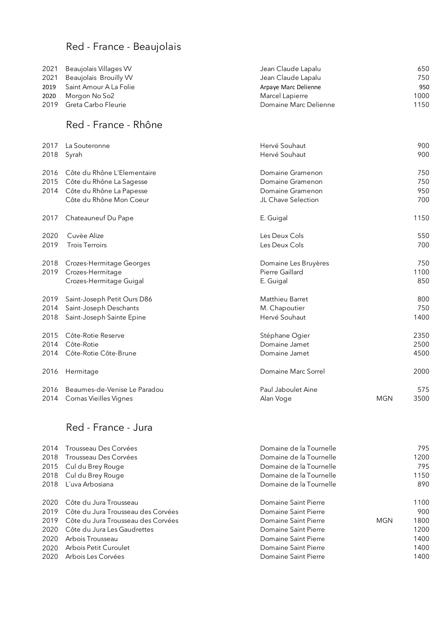# Red - France - Beaujolais

| 2021 | Beaujolais Villages W  | Jean Claude Lapalu    | 650  |
|------|------------------------|-----------------------|------|
| 2021 | Beaujolais Brouilly W  | Jean Claude Lapalu    | 750  |
| 2019 | Saint Amour A La Folie | Arpaye Marc Delienne  | 950  |
| 2020 | Morgon No So2          | Marcel Lapierre       | 1000 |
| 2019 | Greta Carbo Fleurie    | Domaine Marc Delienne | 1150 |

### Red - France - Rhône

| 2017 | La Souteronne                | Hervé Souhaut        |            | 900  |
|------|------------------------------|----------------------|------------|------|
| 2018 | Syrah                        | Hervé Souhaut        |            | 900  |
| 2016 | Côte du Rhône L'Elementaire  | Domaine Gramenon     |            | 750  |
| 2015 | Côte du Rhône La Sagesse     | Domaine Gramenon     |            | 750  |
| 2014 | Côte du Rhône La Papesse     | Domaine Gramenon     |            | 950  |
|      | Côte du Rhône Mon Coeur      | JL Chave Selection   |            | 700  |
| 2017 | Chateauneuf Du Pape          | E. Guigal            |            | 1150 |
| 2020 | Cuvèe Alize                  | Les Deux Cols        |            | 550  |
| 2019 | <b>Trois Terroirs</b>        | Les Deux Cols        |            | 700  |
| 2018 | Crozes-Hermitage Georges     | Domaine Les Bruyères |            | 750  |
| 2019 | Crozes-Hermitage             | Pierre Gaillard      |            | 1100 |
|      | Crozes-Hermitage Guigal      | E. Guigal            |            | 850  |
| 2019 | Saint-Joseph Petit Ours D86  | Matthieu Barret      |            | 800  |
| 2014 | Saint-Joseph Deschants       | M. Chapoutier        |            | 750  |
| 2018 | Saint-Joseph Sainte Epine    | Hervé Souhaut        |            | 1400 |
| 2015 | Côte-Rotie Reserve           | Stéphane Ogier       |            | 2350 |
| 2014 | Côte-Rotie                   | Domaine Jamet        |            | 2500 |
| 2014 | Côte-Rotie Côte-Brune        | Domaine Jamet        |            | 4500 |
| 2016 | Hermitage                    | Domaine Marc Sorrel  |            | 2000 |
| 2016 | Beaumes-de-Venise Le Paradou | Paul Jaboulet Aine   |            | 575  |
| 2014 | Cornas Vieilles Vignes       | Alan Voge            | <b>MGN</b> | 3500 |

### Red - France - Jura

| 2014 | Trousseau Des Corvées              | Domaine de la Tournelle |            | 795  |
|------|------------------------------------|-------------------------|------------|------|
| 2018 | Trousseau Des Corvées              | Domaine de la Tournelle |            | 1200 |
|      | 2015 Cul du Brey Rouge             | Domaine de la Tournelle |            | 795  |
|      | 2018 Cul du Brey Rouge             | Domaine de la Tournelle |            | 1150 |
| 2018 | L'uva Arbosiana                    | Domaine de la Tournelle |            | 890  |
| 2020 | Côte du Jura Trousseau             | Domaine Saint Pierre    |            | 1100 |
| 2019 | Côte du Jura Trousseau des Corvées | Domaine Saint Pierre    |            | 900  |
| 2019 | Côte du Jura Trousseau des Corvées | Domaine Saint Pierre    | <b>MGN</b> | 1800 |
| 2020 | Côte du Jura Les Gaudrettes        | Domaine Saint Pierre    |            | 1200 |
| 2020 | Arbois Trousseau                   | Domaine Saint Pierre    |            | 1400 |
| 2020 | Arbois Petit Curoulet              | Domaine Saint Pierre    |            | 1400 |
| 2020 | Arbois Les Corvées                 | Domaine Saint Pierre    |            | 1400 |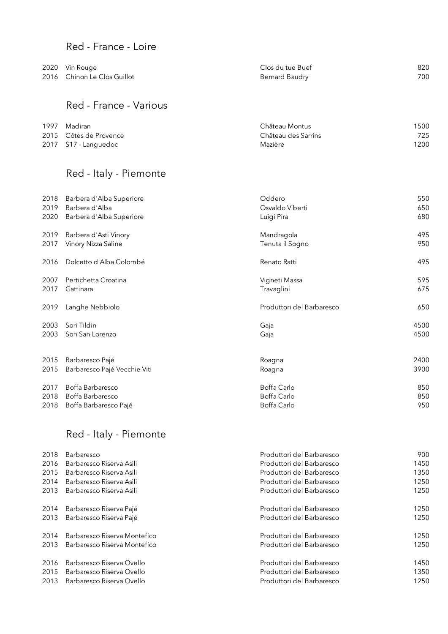### Red - France - Loire

| 2020 Vin Rouge              | Clos du tue Buef | 820 |
|-----------------------------|------------------|-----|
| 2016 Chinon Le Clos Guillot | Bernard Baudry   | 700 |
|                             |                  |     |

### Red - France - Various

| 1997 Madiran           | Château Montus      | 1500 |
|------------------------|---------------------|------|
| 2015 Côtes de Provence | Château des Sarrins | 725  |
| 2017 S17 - Languedoc   | Mazière             | 1200 |

# Red - Italy - Piemonte

| 2018 | Barbera d'Alba Superiore     | Oddero                    | 550  |
|------|------------------------------|---------------------------|------|
| 2019 | Barbera d'Alba               | Osvaldo Viberti           | 650  |
| 2020 | Barbera d'Alba Superiore     | Luigi Pira                | 680  |
| 2019 | Barbera d'Asti Vinory        | Mandragola                | 495  |
| 2017 | Vinory Nizza Saline          | Tenuta il Sogno           | 950  |
| 2016 | Dolcetto d'Alba Colombé      | Renato Ratti              | 495  |
| 2007 | Pertichetta Croatina         | Vigneti Massa             | 595  |
| 2017 | Gattinara                    | Travaglini                | 675  |
| 2019 | Langhe Nebbiolo              | Produttori del Barbaresco | 650  |
| 2003 | Sori Tildin                  | Gaja                      | 4500 |
| 2003 | Sori San Lorenzo             | Gaja                      | 4500 |
|      |                              |                           |      |
| 2015 | Barbaresco Pajé              | Roagna                    | 2400 |
| 2015 | Barbaresco Pajé Vecchie Viti | Roagna                    | 3900 |
| 2017 | Boffa Barbaresco             | Boffa Carlo               | 850  |
| 2018 | Boffa Barbaresco             | Boffa Carlo               | 850  |
| 2018 | Boffa Barbaresco Pajé        | Boffa Carlo               | 950  |

# Red - Italy - Piemonte

| Barbaresco                   | Produttori del Barbaresco | 900  |
|------------------------------|---------------------------|------|
| Barbaresco Riserva Asili     | Produttori del Barbaresco | 1450 |
| Barbaresco Riserva Asili     | Produttori del Barbaresco | 1350 |
| Barbaresco Riserva Asili     | Produttori del Barbaresco | 1250 |
| Barbaresco Riserva Asili     | Produttori del Barbaresco | 1250 |
| Barbaresco Riserva Pajé      | Produttori del Barbaresco | 1250 |
| Barbaresco Riserva Pajé      | Produttori del Barbaresco | 1250 |
| Barbaresco Riserva Montefico | Produttori del Barbaresco | 1250 |
| Barbaresco Riserva Montefico | Produttori del Barbaresco | 1250 |
| Barbaresco Riserva Ovello    | Produttori del Barbaresco | 1450 |
| Barbaresco Riserva Ovello    | Produttori del Barbaresco | 1350 |
| Barbaresco Riserva Ovello    | Produttori del Barbaresco | 1250 |
|                              |                           |      |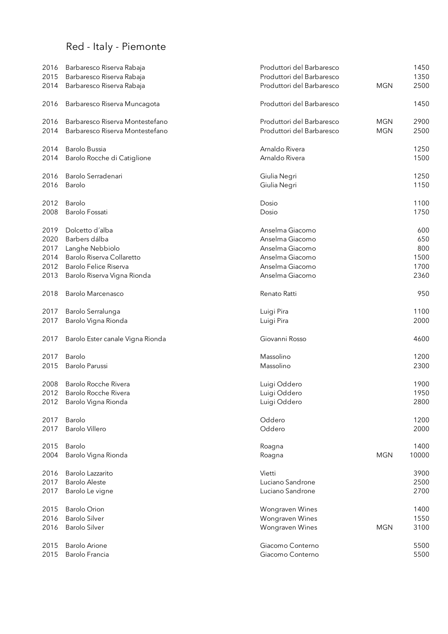# Red - Italy - Piemonte

| 2016<br>2015 | Barbaresco Riserva Rabaja<br>Barbaresco Riserva Rabaja | Produttori del Barbaresco<br>Produttori del Barbaresco |            | 1450<br>1350 |
|--------------|--------------------------------------------------------|--------------------------------------------------------|------------|--------------|
| 2014         | Barbaresco Riserva Rabaja                              | Produttori del Barbaresco                              | <b>MGN</b> | 2500         |
| 2016         | Barbaresco Riserva Muncagota                           | Produttori del Barbaresco                              |            | 1450         |
| 2016         | Barbaresco Riserva Montestefano                        | Produttori del Barbaresco                              | <b>MGN</b> | 2900         |
| 2014         | Barbaresco Riserva Montestefano                        | Produttori del Barbaresco                              | <b>MGN</b> | 2500         |
| 2014         | Barolo Bussia                                          | Arnaldo Rivera                                         |            | 1250         |
| 2014         | Barolo Rocche di Catiglione                            | Arnaldo Rivera                                         |            | 1500         |
| 2016         | Barolo Serradenari                                     | Giulia Negri                                           |            | 1250         |
| 2016         | Barolo                                                 | Giulia Negri                                           |            | 1150         |
| 2012         | <b>Barolo</b>                                          | Dosio                                                  |            | 1100         |
| 2008         | <b>Barolo Fossati</b>                                  | Dosio                                                  |            | 1750         |
| 2019         | Dolcetto d'alba                                        | Anselma Giacomo                                        |            | 600          |
| 2020         | Barbers dálba                                          | Anselma Giacomo                                        |            | 650          |
| 2017         | Langhe Nebbiolo                                        | Anselma Giacomo                                        |            | 800          |
| 2014         | Barolo Riserva Collaretto                              | Anselma Giacomo                                        |            | 1500         |
| 2012         | Barolo Felice Riserva                                  | Anselma Giacomo                                        |            | 1700         |
| 2013         | Barolo Riserva Vigna Rionda                            | Anselma Giacomo                                        |            | 2360         |
| 2018         | Barolo Marcenasco                                      | Renato Ratti                                           |            | 950          |
| 2017         | Barolo Serralunga                                      | Luigi Pira                                             |            | 1100         |
| 2017         | Barolo Vigna Rionda                                    | Luigi Pira                                             |            | 2000         |
| 2017         | Barolo Ester canale Vigna Rionda                       | Giovanni Rosso                                         |            | 4600         |
| 2017         | Barolo                                                 | Massolino                                              |            | 1200         |
| 2015         | Barolo Parussi                                         | Massolino                                              |            | 2300         |
| 2008         | Barolo Rocche Rivera                                   | Luigi Oddero                                           |            | 1900         |
| 2012         | Barolo Rocche Rivera                                   | Luigi Oddero                                           |            | 1950         |
| 2012         | Barolo Vigna Rionda                                    | Luigi Oddero                                           |            | 2800         |
| 2017         | Barolo                                                 | Oddero                                                 |            | 1200         |
| 2017         | Barolo Villero                                         | Oddero                                                 |            | 2000         |
| 2015         | Barolo                                                 | Roagna                                                 |            | 1400         |
| 2004         | Barolo Vigna Rionda                                    | Roagna                                                 | <b>MGN</b> | 10000        |
|              | Barolo Lazzarito                                       | Vietti                                                 |            | 3900         |
| 2016         |                                                        |                                                        |            |              |
| 2017         | <b>Barolo Aleste</b>                                   | Luciano Sandrone                                       |            | 2500         |
| 2017         | Barolo Le vigne                                        | Luciano Sandrone                                       |            | 2700         |
| 2015         | <b>Barolo Orion</b>                                    | Wongraven Wines                                        |            | 1400         |
| 2016         | <b>Barolo Silver</b>                                   | Wongraven Wines                                        |            | 1550         |
| 2016         | <b>Barolo Silver</b>                                   | Wongraven Wines                                        | <b>MGN</b> | 3100         |
| 2015         | <b>Barolo Arione</b>                                   | Giacomo Conterno                                       |            | 5500         |
| 2015         | Barolo Francia                                         | Giacomo Conterno                                       |            | 5500         |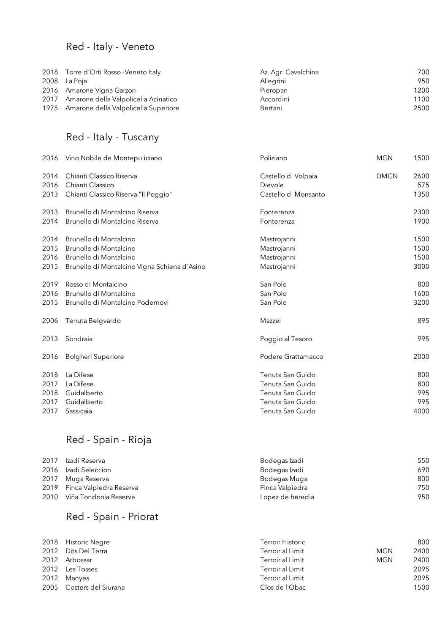### Red - Italy - Veneto

| 2018 Torre d'Orti Rosso - Veneto Italy    | Az. Agr. Cavalchina | 700  |
|-------------------------------------------|---------------------|------|
| 2008 La Poja                              | Allegrini           | 950  |
| 2016 Amarone Vigna Garzon                 | Pieropan            | 1200 |
| 2017 Amarone della Valpolicella Acinatico | Accordini           | 1100 |
| 1975 Amarone della Valpolicella Superiore | Bertani             | 2500 |

### Red - Italy - Tuscany

| 2016 | Vino Nobile de Montepuliciano                | Poliziano            | <b>MGN</b>  | 1500 |
|------|----------------------------------------------|----------------------|-------------|------|
| 2014 | Chianti Classico Riserva                     | Castello di Volpaia  | <b>DMGN</b> | 2600 |
| 2016 | Chianti Classico                             | Dievole              |             | 575  |
| 2013 | Chianti Classico Riserva "Il Poggio"         | Castello di Monsanto |             | 1350 |
| 2013 | Brunello di Montalcino Riserva               | Fonterenza           |             | 2300 |
| 2014 | Brunello di Montalcino Riserva               | Fonterenza           |             | 1900 |
| 2014 | Brunello di Montalcino                       | Mastrojanni          |             | 1500 |
| 2015 | Brunollo di Montalcino                       | Mastrojanni          |             | 1500 |
| 2016 | Brunello di Montalcino                       | Mastrojanni          |             | 1500 |
| 2015 | Brunello di Montalcino Vigna Schiena d'Asino | Mastrojanni          |             | 3000 |
| 2019 | Rosso di Montalcino                          | San Polo             |             | 800  |
| 2016 | Brunello di Montalcino                       | San Polo             |             | 1600 |
| 2015 | Brunello di Montalcino Podernovi             | San Polo             |             | 3200 |
| 2006 | Tenuta Belgvardo                             | Mazzei               |             | 895  |
| 2013 | Sondraia                                     | Poggio al Tesoro     |             | 995  |
| 2016 | <b>Bolgheri Superiore</b>                    | Podere Grattamacco   |             | 2000 |
| 2018 | La Difese                                    | Tenuta San Guido     |             | 800  |
| 2017 | La Difese                                    | Tenuta San Guido     |             | 800  |
| 2018 | Guidalberto                                  | Tenuta San Guido     |             | 995  |
| 2017 | Guidalberto                                  | Tenuta San Guido     |             | 995  |
| 2017 | Sassicaia                                    | Tenuta San Guido     |             | 4000 |

# Red - Spain - Rioja

| 2017 | Izadi Reserva                | Bodegas Izadi    | 550 |
|------|------------------------------|------------------|-----|
|      | 2016 Izadi Seleccion         | Bodegas Izadi    | 690 |
|      | 2017 Muga Reserva            | Bodegas Muga     | 800 |
|      | 2019 Finca Valpiedra Reserva | Finca Valpiedra  | 750 |
|      | 2010 Viña Tondonia Reserva   | Lopez de heredia | 950 |

### Red - Spain - Priorat

| 2018 Historic Negre      | Terroir Historic |            | 800  |
|--------------------------|------------------|------------|------|
| 2012 Dits Del Terra      | Terroir al Limit | MGN        | 2400 |
| 2012 Arbossar            | Terroir al Limit | <b>MGN</b> | 2400 |
| 2012 Les Tosses          | Terroir al Limit |            | 2095 |
| 2012 Manyes              | Terroir al Limit |            | 2095 |
| 2005 Costers del Siurana | Clos de l'Obac   |            | 1500 |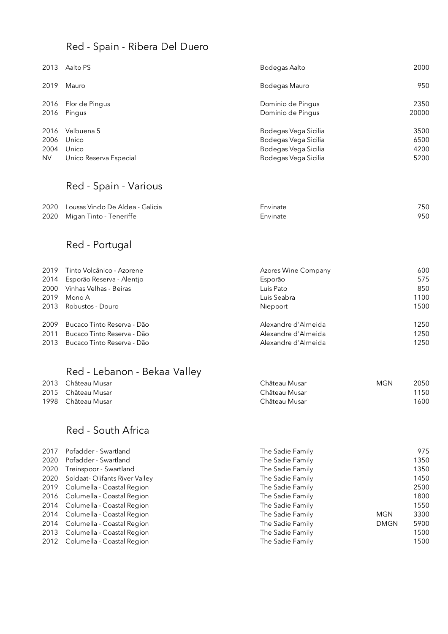### Red - Spain - Ribera Del Duero

| 2013      | Aalto PS               | Bodegas Aalto        | 2000  |
|-----------|------------------------|----------------------|-------|
| 2019      | Mauro                  | Bodegas Mauro        | 950   |
| 2016      | Flor de Pingus         | Dominio de Pingus    | 2350  |
| 2016      | Pingus                 | Dominio de Pingus    | 20000 |
| 2016      | Velbuena 5             | Bodegas Vega Sicilia | 3500  |
| 2006      | Unico                  | Bodegas Vega Sicilia | 6500  |
| 2004      | Unico                  | Bodegas Vega Sicilia | 4200  |
| <b>NV</b> | Unico Reserva Especial | Bodegas Vega Sicilia | 5200  |

### Red - Spain - Various

| 2020 Lousas Vindo De Aldea - Galicia | Envinate | 750 |
|--------------------------------------|----------|-----|
| 2020 Migan Tinto - Teneriffe         | Envinate | 950 |

# Red - Portugal

|      | 2019 Tinto Volcânico - Azorene | Azores Wine Company | 600  |
|------|--------------------------------|---------------------|------|
| 2014 | Esporão Reserva - Alentjo      | Esporão             | 575  |
| 2000 | Vinhas Velhas - Beiras         | Luis Pato           | 850  |
| 2019 | Mono A                         | Luis Seabra         | 1100 |
| 2013 | Robustos - Douro               | Niepoort            | 1500 |
| 2009 | Bucaco Tinto Reserva - Dão     | Alexandre d'Almeida | 1250 |
| 2011 | Bucaco Tinto Reserva - Dão     | Alexandre d'Almeida | 1250 |
| 2013 | Bucaco Tinto Reserva - Dão     | Alexandre d'Almeida | 1250 |

# Red - Lebanon - Bekaa Valley

| 2013 Château Musar | Château Musar | MGN | 2050  |
|--------------------|---------------|-----|-------|
| 2015 Château Musar | Château Musar |     | 1150  |
| 1998 Château Musar | Château Musar |     | '600' |

### Red - South Africa

| 2017 | Pofadder - Swartland            | The Sadie Family |             | 975  |
|------|---------------------------------|------------------|-------------|------|
| 2020 | Pofadder - Swartland            | The Sadie Family |             | 1350 |
| 2020 | Treinspoor - Swartland          | The Sadie Family |             | 1350 |
| 2020 | Soldaat-Olifants River Valley   | The Sadie Family |             | 1450 |
|      | 2019 Columella - Coastal Region | The Sadie Family |             | 2500 |
|      | 2016 Columella - Coastal Region | The Sadie Family |             | 1800 |
|      | 2014 Columella - Coastal Region | The Sadie Family |             | 1550 |
|      | 2014 Columella - Coastal Region | The Sadie Family | MGN         | 3300 |
|      | 2014 Columella - Coastal Region | The Sadie Family | <b>DMGN</b> | 5900 |
|      | 2013 Columella - Coastal Region | The Sadie Family |             | 1500 |
| 2012 | Columella - Coastal Region      | The Sadie Family |             | 1500 |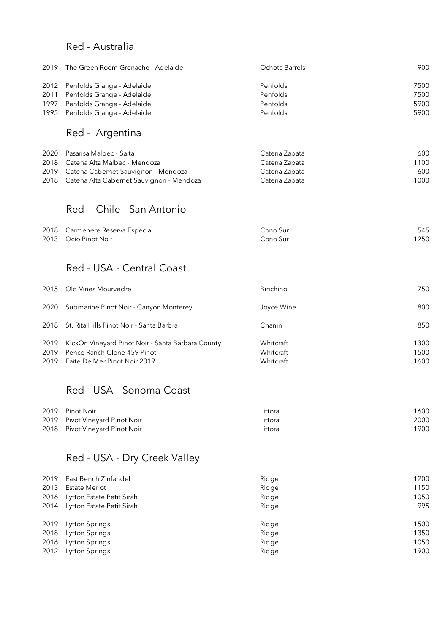#### Red - Australia

| 2019 The Green Room Grenache - Adelaide | Ochota Barrels | 900  |
|-----------------------------------------|----------------|------|
| 2012 Penfolds Grange - Adelaide         | Penfolds       | 7500 |
| 2011 Penfolds Grange - Adelaide         | Penfolds       | 7500 |
| 1997 Penfolds Grange - Adelaide         | Penfolds       | 5900 |
| 1995 Penfolds Grange - Adelaide         | Penfolds       | 5900 |
| Red - Argentina                         |                |      |

| 2020 Pasarisa Malbec - Salta                  | Catena Zapata | 600  |
|-----------------------------------------------|---------------|------|
| 2018 Catena Alta Malbec - Mendoza             | Catena Zapata | 1100 |
| 2019 Catena Cabernet Sauvignon - Mendoza      | Catena Zapata | 600  |
| 2018 Catena Alta Cabernet Sauvignon - Mendoza | Catena Zapata | 1000 |

### Red - Chile - San Antonio

| 2018 Carmenere Reserva Especial | Cono Sur | 545  |
|---------------------------------|----------|------|
| 2013 Ocio Pinot Noir            | Cono Sur | 1250 |

#### Red - USA - Central Coast

|                      | 2015 Old Vines Mourvedre                                                                                         | <b>Birichino</b>                    | 750                  |
|----------------------|------------------------------------------------------------------------------------------------------------------|-------------------------------------|----------------------|
| 2020                 | Submarine Pinot Noir - Canyon Monterey                                                                           | Joyce Wine                          | 800                  |
|                      | 2018 St. Rita Hills Pinot Noir - Santa Barbra                                                                    | Chanin                              | 850                  |
| 2019<br>2019<br>2019 | KickOn Vineyard Pinot Noir - Santa Barbara County<br>Pence Ranch Clone 459 Pinot<br>Faite De Mer Pinot Noir 2019 | Whitcraft<br>Whitcraft<br>Whitcraft | 1300<br>1500<br>1600 |

### Red - USA - Sonoma Coast

| 2019 Pinot Noir                | Littorai | 1600 |
|--------------------------------|----------|------|
| 2019 Pivot Vineyard Pinot Noir | Littorai | 2000 |
| 2018 Pivot Vineyard Pinot Noir | Littorai | 1900 |

### Red - USA - Dry Creek Valley

| 2019 | East Bench Zinfandel           | Ridge | 1200 |
|------|--------------------------------|-------|------|
| 2013 | Estate Merlot                  | Ridge | 1150 |
|      | 2016 Lytton Estate Petit Sirah | Ridge | 1050 |
|      | 2014 Lytton Estate Petit Sirah | Ridge | 995  |
|      |                                |       |      |
| 2019 | Lytton Springs                 | Ridge | 1500 |
| 2018 | Lytton Springs                 | Ridge | 1350 |
| 2016 | Lytton Springs                 | Ridge | 1050 |
| 2012 | Lytton Springs                 | Ridge | 1900 |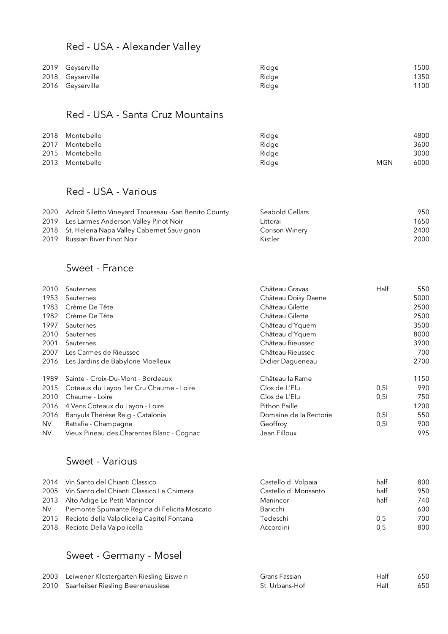### Red - USA - Alexander Valley

| 2019 Geyserville | Ridge | 1500 |
|------------------|-------|------|
| 2018 Geyserville | Ridae | 1350 |
| 2016 Geyserville | Ridge | 1100 |

### Red - USA - Santa Cruz Mountains

| 2018 Montebello | Ridge |            | 4800 |
|-----------------|-------|------------|------|
| 2017 Montebello | Ridge |            | 3600 |
| 2015 Montebello | Ridge |            | 3000 |
| 2013 Montebello | Ridge | <b>MGN</b> | 6000 |

### Red - USA - Various

| 2020 Adroît Siletto Vineyard Trousseau - San Benito County | Seabold Cellars | 950  |
|------------------------------------------------------------|-----------------|------|
| 2019 Les Larmes Anderson Valley Pinot Noir                 | Littorai        | 1650 |
| 2018 St. Helena Napa Valley Cabernet Sauvignon             | Corison Winery  | 2400 |
| 2019 Russian River Pinot Noir                              | Kistler         | 2000 |

#### Sweet - France

| 2010 | Sauternes                                 | Château Gravas         | Half | 550  |
|------|-------------------------------------------|------------------------|------|------|
| 1953 | Sauternes                                 | Château Doisy Daene    |      | 5000 |
| 1983 | Crème De Tête                             | Château Gilette        |      | 2500 |
| 1982 | Crème De Tête                             | Château Gilette        |      | 2500 |
| 1997 | Sauternes                                 | Château d'Yquem        |      | 3500 |
| 2010 | Sauternes                                 | Château d'Yquem        |      | 8000 |
| 2001 | Sauternes                                 | Château Rieussec       |      | 3900 |
| 2007 | Les Carmes de Rieussec                    | Château Rieussec       |      | 700  |
| 2016 | Les Jardins de Babylone Moelleux          | Didier Dagueneau       |      | 2700 |
| 1989 | Sainte - Croix-Du-Mont - Bordeaux         | Château la Rame        |      | 1150 |
| 2015 | Coteaux du Layon 1er Cru Chaume - Loire   | Clos de L'Elu          | 0,51 | 990  |
| 2010 | Chaume - Loire                            | Clos de L'Elu          | 0,5  | 750  |
| 2016 | 4 Vens Coteaux du Layon - Loire           | Pithon Paille          |      | 1200 |
| 2016 | Banyuls Thérèse Reig - Catalonia          | Domaine de la Rectorie | 0,51 | 550  |
| NV.  | Rattafia - Champagne                      | Geoffroy               | 0,51 | 900  |
| NV.  | Vieux Pineau des Charentes Blanc - Cognac | Jean Filloux           |      | 995  |

### Sweet - Various

| 2014 | Vin Santo del Chianti Classico               | Castello di Volpaia  | half | 800 |
|------|----------------------------------------------|----------------------|------|-----|
| 2005 | Vin Santo del Chianti Classico Le Chimera    | Castello di Monsanto | half | 950 |
| 2013 | Alto Adige Le Petit Manincor                 | Manincor             | half | 740 |
| NV.  | Piemonte Spumante Regina di Felicita Moscato | Baricchi             |      | 600 |
| 2015 | Recioto della Valpolicella Capitel Fontana   | Tedeschi             | 0.5  | 700 |
|      | 2018 Recioto Della Valpolicella              | Accordini            | 0.5  | 800 |

### Sweet - Germany - Mosel

| 2003 Leiwener Klostergarten Riesling Eiswein | Grans Fassian  | Half | 650 |
|----------------------------------------------|----------------|------|-----|
| 2010 Saarfeilser Riesling Beerenauslese      | St. Urbans-Hof | Half | 650 |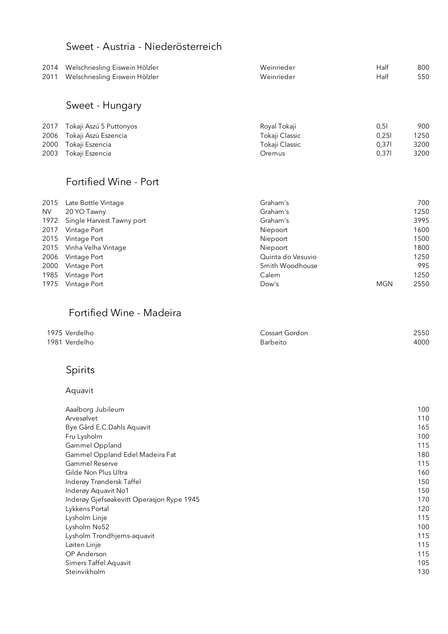### Sweet - Austria - Niederösterreich

| 2014<br>2011 | Welschriesling Eiswein Hölzler<br>Welschriesling Eiswein Hölzler | Weinrieder<br>Weinrieder | Half<br>Half | 800<br>550 |
|--------------|------------------------------------------------------------------|--------------------------|--------------|------------|
|              | Sweet - Hungary                                                  |                          |              |            |
| 2017         | Tokaji Aszú 5 Puttonyos                                          | Royal Tokaji             | 0,51         | 900        |
| 2006         | Tokaji Aszú Eszencia                                             | Tokaji Classic           | 0,251        | 1250       |
| 2000         | Tokaji Eszencia                                                  | Tokaji Classic           | 0,371        | 3200       |
| 2003         | Tokaji Eszencia                                                  | Oremus                   | 0,371        | 3200       |
|              | Fortified Wine - Port                                            |                          |              |            |
| 2015         | Late Bottle Vintage                                              | Graham's                 |              | 700        |
| <b>NV</b>    | 20 YO Tawny                                                      | Graham's                 |              | 1250       |
| 1972         | Single Harvest Tawny port                                        | Graham's                 |              | 3995       |
| 2017         | Vintage Port                                                     | Niepoort                 |              | 1600       |
| 2015         | Vintage Port                                                     | Niepoort                 |              | 1500       |
| 2015         | Vinha Velha Vintage                                              | Niepoort                 |              | 1800       |
| 2006         | Vintage Port                                                     | Quinta do Vesuvio        |              | 1250       |

| 2000 Vintage Port | Smith Woodhouse |            | 995  |
|-------------------|-----------------|------------|------|
| 1985 Vintage Port | Calem           |            | 1250 |
| 1975 Vintage Port | Dow's           | <b>MGN</b> | 2550 |
|                   |                 |            |      |
|                   |                 |            |      |

# Fortified Wine - Madeira

| 1975 Verdelho | Cossart Gordon | 2550 |
|---------------|----------------|------|
| 1981 Verdelho | Barbeito       | 4000 |

# Spirits

#### Aquavit

| Aaalborg Jubileum                         | 100 |
|-------------------------------------------|-----|
| Arvesølvet                                | 110 |
| Bye Gård E.C.Dahls Aquavit                | 165 |
| Fru Lysholm                               | 100 |
| Gammel Oppland                            | 115 |
| Gammel Oppland Edel Madeira Fat           | 180 |
| <b>Gammel Reserve</b>                     | 115 |
| Gilde Non Plus Ultra                      | 160 |
| Inderøy Trøndersk Taffel                  | 150 |
| Inderøy Aquavit No1                       | 150 |
| Inderøy Gjefsøakevitt Operasjon Rype 1945 | 170 |
| Lykkens Portal                            | 120 |
| Lysholm Linje                             | 115 |
| Lysholm No52                              | 100 |
| Lysholm Trondhjems-aquavit                | 115 |
| Løiten Linje                              | 115 |
| OP Anderson                               | 115 |
| Simers Taffel Aquavit                     | 105 |
| Steinvikholm                              | 130 |
|                                           |     |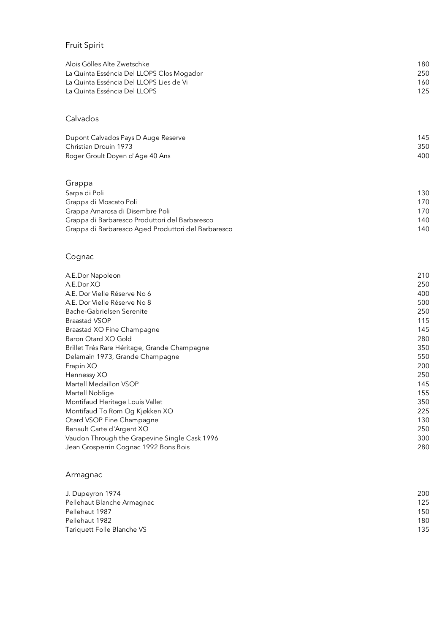### Fruit Spirit

| Alois Gölles Alte Zwetschke               | 180 |
|-------------------------------------------|-----|
| La Quinta Esséncia Del LLOPS Clos Mogador | 250 |
| La Quinta Esséncia Del LLOPS Lies de Vi   | 160 |
| La Quinta Esséncia Del LLOPS              | 125 |
|                                           |     |

#### Calvados

| Dupont Calvados Pays D Auge Reserve | 145 |
|-------------------------------------|-----|
| Christian Drouin 1973               | 350 |
| Roger Groult Doyen d'Age 40 Ans     | 400 |

#### Grappa

| Sarpa di Poli                                       | 130 |
|-----------------------------------------------------|-----|
| Grappa di Moscato Poli                              | 170 |
| Grappa Amarosa di Disembre Poli                     | 170 |
| Grappa di Barbaresco Produttori del Barbaresco      | 140 |
| Grappa di Barbaresco Aged Produttori del Barbaresco | 140 |
|                                                     |     |

### Cognac

| A.E.Dor Napoleon                              | 210 |
|-----------------------------------------------|-----|
| A.E.Dor XO                                    | 250 |
| A.E. Dor Vielle Réserve No 6                  | 400 |
| A.E. Dor Vielle Réserve No 8                  | 500 |
| Bache-Gabrielsen Serenite                     | 250 |
| <b>Braastad VSOP</b>                          | 115 |
| Braastad XO Fine Champagne                    | 145 |
| Baron Otard XO Gold                           | 280 |
| Brillet Trés Rare Héritage, Grande Champagne  | 350 |
| Delamain 1973, Grande Champagne               | 550 |
| Frapin XO                                     | 200 |
| Hennessy XO                                   | 250 |
| Martell Medaillon VSOP                        | 145 |
| Martell Noblige                               | 155 |
| Montifaud Heritage Louis Vallet               | 350 |
| Montifaud To Rom Og Kjøkken XO                | 225 |
| Otard VSOP Fine Champagne                     | 130 |
| Renault Carte d'Argent XO                     | 250 |
| Vaudon Through the Grapevine Single Cask 1996 | 300 |
| Jean Grosperrin Cognac 1992 Bons Bois         | 280 |
|                                               |     |

#### Armagnac

| J. Dupeyron 1974           | 200 |
|----------------------------|-----|
| Pellehaut Blanche Armagnac | 125 |
| Pellehaut 1987             | 150 |
| Pellehaut 1982             | 180 |
| Tariquett Folle Blanche VS | 135 |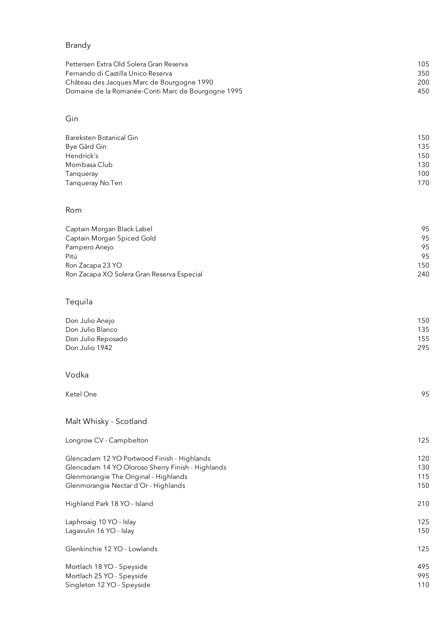#### Brandy

| Pettersen Extra Old Solera Gran Reserva            | 105 |
|----------------------------------------------------|-----|
| Fernando di Castilla Unico Reserva                 | 350 |
| Château des Jacques Marc de Bourgogne 1990         | 200 |
| Domaine de la Romanée-Conti Marc de Bourgogne 1995 | 450 |
|                                                    |     |

#### Gin

| Bareksten Botanical Gin | 150 |
|-------------------------|-----|
| Bye Gård Gin            | 135 |
| Hendrick's              | 150 |
| Mombasa Club            | 130 |
| Tanqueray               | 100 |
| Tanqueray No.Ten        | 170 |
|                         |     |

#### Rom

| Captain Morgan Black Label                 | 95  |
|--------------------------------------------|-----|
| Captain Morgan Spiced Gold                 | 95  |
| Pampero Anejo                              | 95  |
| Pitú                                       | 95  |
| Ron Zacapa 23 YO                           | 150 |
| Ron Zacapa XO Solera Gran Reserva Especial | 240 |

#### Tequila

| 150 |
|-----|
| 135 |
| 155 |
| 295 |
|     |

#### Vodka

Ketel One 95

| Malt Whisky - Scotland                            |     |
|---------------------------------------------------|-----|
| Longrow CV - Campbelton                           | 125 |
| Glencadam 12 YO Portwood Finish - Highlands       | 120 |
| Glencadam 14 YO Oloroso Sherry Finish - Highlands | 130 |
| Glenmorangie The Original - Highlands             | 115 |
| Glenmorangie Nectar d'Or - Highlands              | 150 |
| Highland Park 18 YO - Island                      | 210 |
| Laphroaig 10 YO - Islay                           | 125 |
| Lagavulin 16 YO - Islay                           | 150 |
| Glenkinchie 12 YO - Lowlands                      | 125 |
| Mortlach 18 YO - Speyside                         | 495 |
| Mortlach 25 YO - Speyside                         | 995 |
| Singleton 12 YO - Speyside                        | 110 |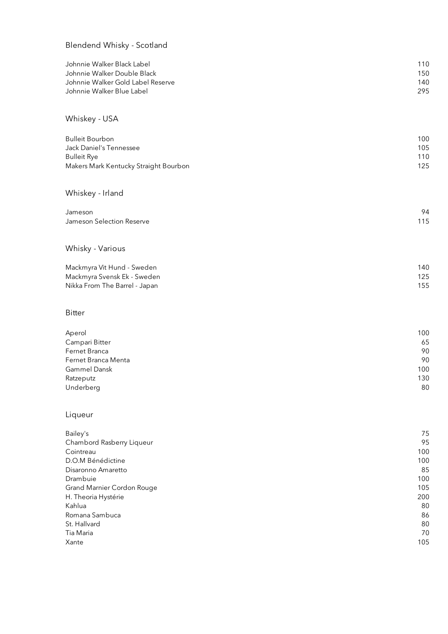#### Blendend Whisky - Scotland

| Johnnie Walker Black Label            | 110      |
|---------------------------------------|----------|
| Johnnie Walker Double Black           | 150      |
| Johnnie Walker Gold Label Reserve     | 140      |
| Johnnie Walker Blue Label             | 295      |
| Whiskey - USA                         |          |
| <b>Bulleit Bourbon</b>                | 100      |
| Jack Daniel's Tennessee               | 105      |
| <b>Bulleit Rye</b>                    | 110      |
| Makers Mark Kentucky Straight Bourbon | 125      |
| Whiskey - Irland                      |          |
| Jameson                               | 94       |
| Jameson Selection Reserve             | 115      |
| Whisky - Various                      |          |
| Mackmyra Vit Hund - Sweden            | 140      |
| Mackmyra Svensk Ek - Sweden           | 125      |
| Nikka From The Barrel - Japan         | 155      |
| <b>Bitter</b>                         |          |
| Aperol                                | 100      |
| Campari Bitter                        | 65       |
| Fornot Branca                         | $\Omega$ |

| Fernet Branca       | 90  |
|---------------------|-----|
| Fernet Branca Menta | 90  |
| Gammel Dansk        | 100 |
| Ratzeputz           | 130 |
| Underberg           | 80  |
|                     |     |

#### Liqueur

| Bailey's                   | 75  |
|----------------------------|-----|
| Chambord Rasberry Liqueur  | 95  |
| Cointreau                  | 100 |
| D.O.M Bénédictine          | 100 |
| Disaronno Amaretto         | 85  |
| Drambuie                   | 100 |
| Grand Marnier Cordon Rouge | 105 |
| H. Theoria Hystérie        | 200 |
| Kahlua                     | 80  |
| Romana Sambuca             | 86  |
| St. Hallvard               | 80  |
| Tia Maria                  | 70  |
| Xante                      | 105 |